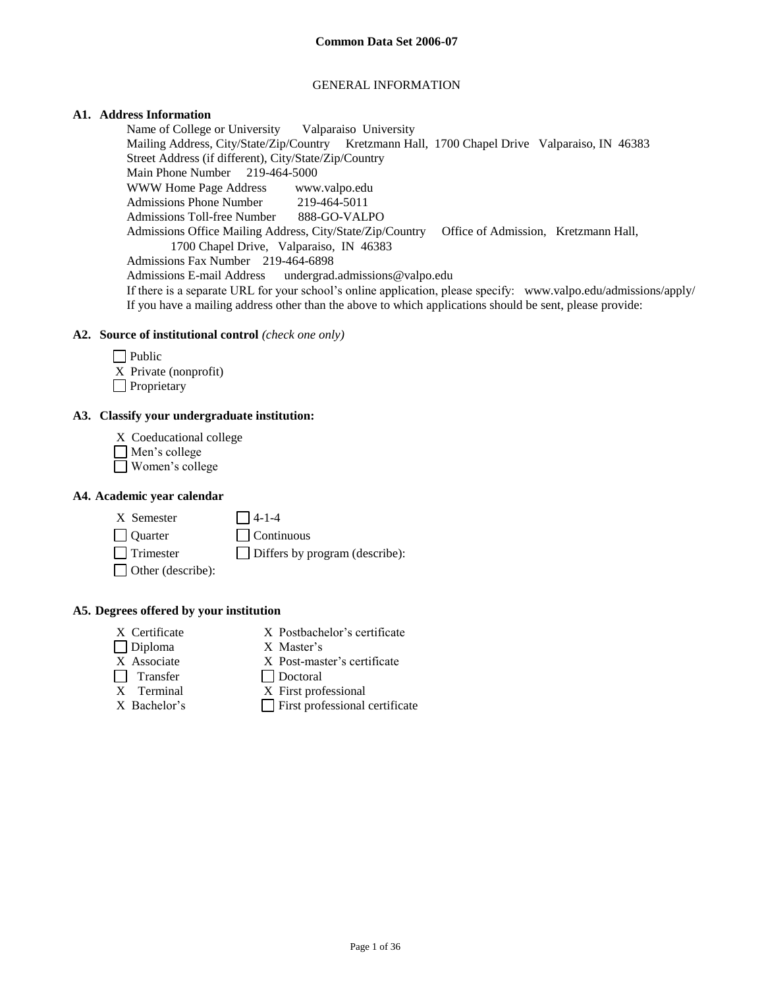#### GENERAL INFORMATION

### **A1. Address Information**

Name of College or University Valparaiso University Mailing Address, City/State/Zip/Country Kretzmann Hall, 1700 Chapel Drive Valparaiso, IN 46383 Street Address (if different), City/State/Zip/Country Main Phone Number 219-464-5000 WWW Home Page Address www.valpo.edu Admissions Phone Number 219-464-5011 Admissions Toll-free Number 888-GO-VALPO Admissions Office Mailing Address, City/State/Zip/Country Office of Admission, Kretzmann Hall, 1700 Chapel Drive, Valparaiso, IN 46383 Admissions Fax Number 219-464-6898 Admissions E-mail Address undergrad.admissions@valpo.edu If there is a separate URL for your school's online application, please specify: www.valpo.edu/admissions/apply/ If you have a mailing address other than the above to which applications should be sent, please provide:

### **A2. Source of institutional control** *(check one only)*

| $\Box$ Public         |
|-----------------------|
| X Private (nonprofit) |
| Proprietary           |

## **A3. Classify your undergraduate institution:**

- X Coeducational college
- Men's college
- Women's college

#### **A4. Academic year calendar**

| X Semester | $\Box$ 4-1-4 |
|------------|--------------|
|            |              |

Quarter Continuous

 $\Box$  Trimester  $\Box$  Differs by program (describe):

Other (describe):

**A5. Degrees offered by your institution**

- 
- X Certificate X Postbachelor's certificate
- Diploma X Master's
- X Associate X Post-master's certificate
- 
- Transfer Doctoral<br>
X Terminal X First prof X First professional
- 
- $X$  Bachelor's  $\Box$  First professional certificate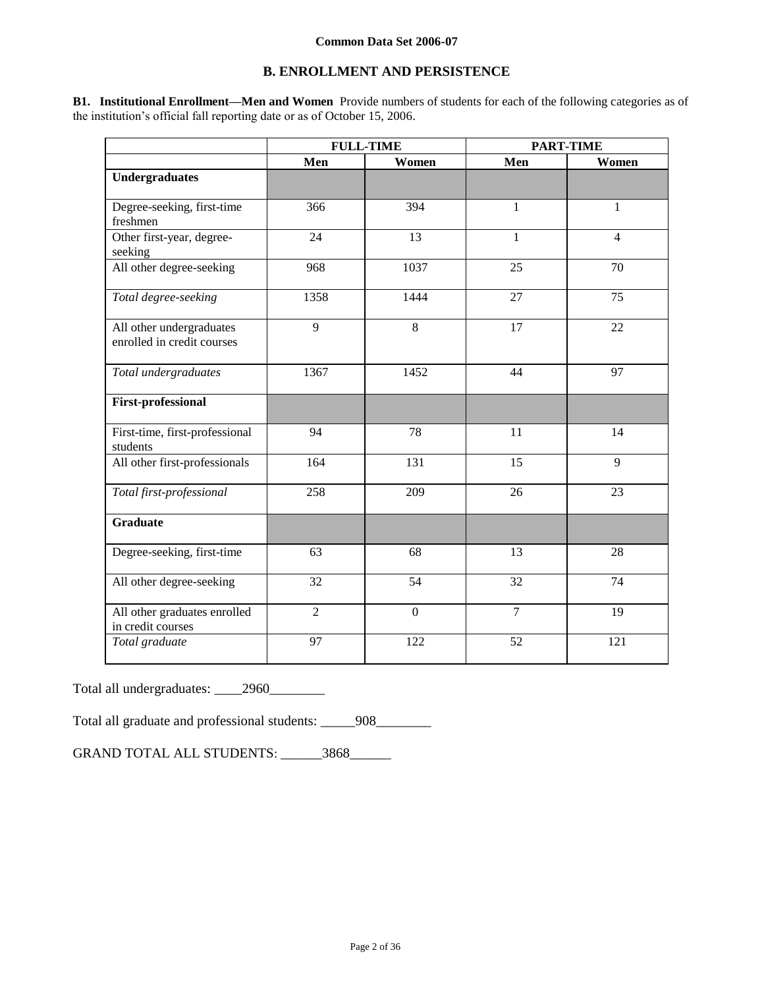# **B. ENROLLMENT AND PERSISTENCE**

**B1. Institutional Enrollment—Men and Women** Provide numbers of students for each of the following categories as of the institution's official fall reporting date or as of October 15, 2006.

|                                                        | <b>FULL-TIME</b> |              | <b>PART-TIME</b> |                |
|--------------------------------------------------------|------------------|--------------|------------------|----------------|
|                                                        | Men              | Women        | Men              | Women          |
| <b>Undergraduates</b>                                  |                  |              |                  |                |
| Degree-seeking, first-time<br>freshmen                 | 366              | 394          | $\mathbf{1}$     | $\mathbf{1}$   |
| Other first-year, degree-<br>seeking                   | 24               | 13           | $\mathbf{1}$     | $\overline{4}$ |
| All other degree-seeking                               | 968              | 1037         | 25               | 70             |
| Total degree-seeking                                   | 1358             | 1444         | 27               | 75             |
| All other undergraduates<br>enrolled in credit courses | 9                | 8            | 17               | 22             |
| Total undergraduates                                   | 1367             | 1452         | 44               | 97             |
| <b>First-professional</b>                              |                  |              |                  |                |
| First-time, first-professional<br>students             | 94               | 78           | 11               | 14             |
| All other first-professionals                          | 164              | 131          | 15               | 9              |
| Total first-professional                               | 258              | 209          | 26               | 23             |
| <b>Graduate</b>                                        |                  |              |                  |                |
| Degree-seeking, first-time                             | 63               | 68           | 13               | 28             |
| All other degree-seeking                               | 32               | 54           | 32               | 74             |
| All other graduates enrolled<br>in credit courses      | $\overline{2}$   | $\mathbf{0}$ | $\overline{7}$   | 19             |
| Total graduate                                         | 97               | 122          | 52               | 121            |

Total all undergraduates: \_\_\_\_2960\_\_\_\_\_\_\_\_

Total all graduate and professional students: \_\_\_\_\_908\_\_\_\_\_\_\_

GRAND TOTAL ALL STUDENTS: \_\_\_\_\_\_3868\_\_\_\_\_\_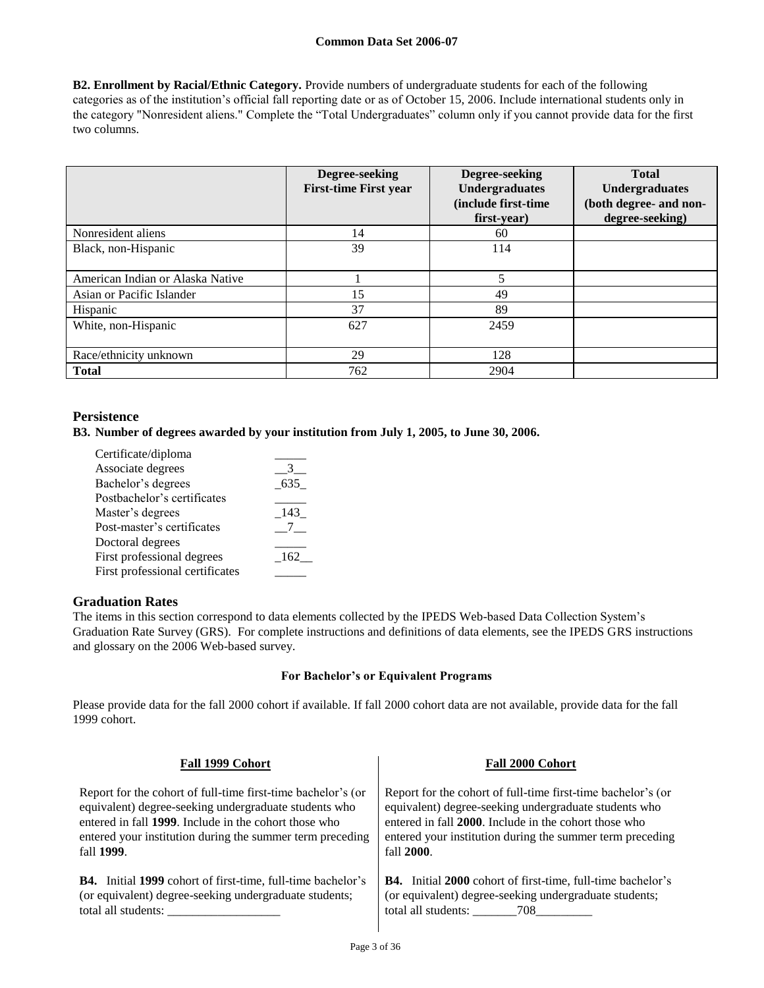**B2. Enrollment by Racial/Ethnic Category.** Provide numbers of undergraduate students for each of the following categories as of the institution's official fall reporting date or as of October 15, 2006. Include international students only in the category "Nonresident aliens." Complete the "Total Undergraduates" column only if you cannot provide data for the first two columns.

|                                  | Degree-seeking<br><b>First-time First year</b> | Degree-seeking<br><b>Undergraduates</b><br>(include first-time<br>first-year) | <b>Total</b><br><b>Undergraduates</b><br>(both degree- and non-<br>degree-seeking) |
|----------------------------------|------------------------------------------------|-------------------------------------------------------------------------------|------------------------------------------------------------------------------------|
| Nonresident aliens               | 14                                             | 60                                                                            |                                                                                    |
| Black, non-Hispanic              | 39                                             | 114                                                                           |                                                                                    |
| American Indian or Alaska Native |                                                | 5                                                                             |                                                                                    |
| Asian or Pacific Islander        | 15                                             | 49                                                                            |                                                                                    |
| Hispanic                         | 37                                             | 89                                                                            |                                                                                    |
| White, non-Hispanic              | 627                                            | 2459                                                                          |                                                                                    |
| Race/ethnicity unknown           | 29                                             | 128                                                                           |                                                                                    |
| <b>Total</b>                     | 762                                            | 2904                                                                          |                                                                                    |

# **Persistence**

**B3. Number of degrees awarded by your institution from July 1, 2005, to June 30, 2006.**

| Certificate/diploma             |     |
|---------------------------------|-----|
| Associate degrees               |     |
| Bachelor's degrees              | 635 |
| Postbachelor's certificates     |     |
| Master's degrees                | 143 |
| Post-master's certificates      |     |
| Doctoral degrees                |     |
| First professional degrees      | 162 |
| First professional certificates |     |

## **Graduation Rates**

The items in this section correspond to data elements collected by the IPEDS Web-based Data Collection System's Graduation Rate Survey (GRS). For complete instructions and definitions of data elements, see the IPEDS GRS instructions and glossary on the 2006 Web-based survey.

## **For Bachelor's or Equivalent Programs**

Please provide data for the fall 2000 cohort if available. If fall 2000 cohort data are not available, provide data for the fall 1999 cohort.

| Fall 1999 Cohort                                                   | Fall 2000 Cohort                                                   |
|--------------------------------------------------------------------|--------------------------------------------------------------------|
| Report for the cohort of full-time first-time bachelor's (or       | Report for the cohort of full-time first-time bachelor's (or       |
| equivalent) degree-seeking undergraduate students who              | equivalent) degree-seeking undergraduate students who              |
| entered in fall 1999. Include in the cohort those who              | entered in fall 2000. Include in the cohort those who              |
| entered your institution during the summer term preceding          | entered your institution during the summer term preceding          |
| fall 1999.                                                         | fall 2000.                                                         |
| <b>B4.</b> Initial 1999 cohort of first-time, full-time bachelor's | <b>B4.</b> Initial 2000 cohort of first-time, full-time bachelor's |
| (or equivalent) degree-seeking undergraduate students;             | (or equivalent) degree-seeking undergraduate students;             |
| total all students:                                                | total all students: 708                                            |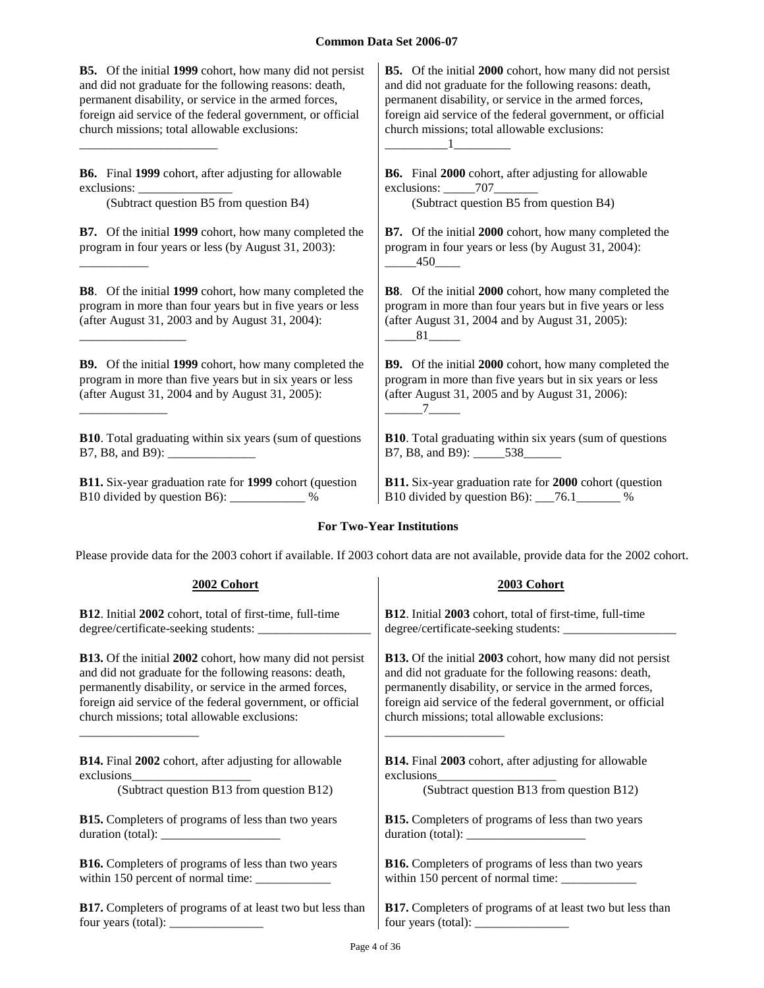$\mathbf 1$ 

**B5.** Of the initial **1999** cohort, how many did not persist and did not graduate for the following reasons: death, permanent disability, or service in the armed forces, foreign aid service of the federal government, or official church missions; total allowable exclusions:

**B6.** Final **1999** cohort, after adjusting for allowable exclusions:

\_\_\_\_\_\_\_\_\_\_\_\_\_\_\_\_\_\_\_\_\_\_

\_\_\_\_\_\_\_\_\_\_\_

\_\_\_\_\_\_\_\_\_\_\_\_\_\_\_\_\_

\_\_\_\_\_\_\_\_\_\_\_\_\_\_

**B7.** Of the initial **1999** cohort, how many completed the program in four years or less (by August 31, 2003):

**B8**. Of the initial **1999** cohort, how many completed the program in more than four years but in five years or less (after August 31, 2003 and by August 31, 2004):

**B9.** Of the initial **1999** cohort, how many completed the program in more than five years but in six years or less (after August 31, 2004 and by August 31, 2005):

**B10**. Total graduating within six years (sum of questions B7, B8, and B9): \_\_\_\_\_\_\_\_\_\_\_\_\_\_

**B11.** Six-year graduation rate for **1999** cohort (question B10 divided by question B6): \_\_\_\_\_\_\_\_\_\_\_\_ %

**B5.** Of the initial **2000** cohort, how many did not persist and did not graduate for the following reasons: death, permanent disability, or service in the armed forces, foreign aid service of the federal government, or official church missions; total allowable exclusions:

**B6.** Final **2000** cohort, after adjusting for allowable exclusions:  $707$ (Subtract question B5 from question B4) (Subtract question B5 from question B4)

> **B7.** Of the initial **2000** cohort, how many completed the program in four years or less (by August 31, 2004): \_\_\_\_\_450\_\_\_\_

> **B8**. Of the initial **2000** cohort, how many completed the program in more than four years but in five years or less (after August 31, 2004 and by August 31, 2005):  $81$

> **B9.** Of the initial **2000** cohort, how many completed the program in more than five years but in six years or less (after August 31, 2005 and by August 31, 2006):  $7$   $-$

> **B10**. Total graduating within six years (sum of questions B7, B8, and B9): \_\_\_\_\_538\_\_\_\_\_\_

**B11.** Six-year graduation rate for **2000** cohort (question B10 divided by question B6): \_\_\_76.1\_\_\_\_\_\_\_ %

#### **For Two-Year Institutions**

Please provide data for the 2003 cohort if available. If 2003 cohort data are not available, provide data for the 2002 cohort.

**2002 Cohort 2003 Cohort**

| <b>B12.</b> Initial 2002 cohort, total of first-time, full-time        | B12. Initial 2003 cohort, total of first-time, full-time                                                                                                                                                                                                                                          |
|------------------------------------------------------------------------|---------------------------------------------------------------------------------------------------------------------------------------------------------------------------------------------------------------------------------------------------------------------------------------------------|
|                                                                        |                                                                                                                                                                                                                                                                                                   |
| <b>B13.</b> Of the initial 2002 cohort, how many did not persist       | <b>B13.</b> Of the initial 2003 cohort, how many did not persist                                                                                                                                                                                                                                  |
| and did not graduate for the following reasons: death,                 | and did not graduate for the following reasons: death,                                                                                                                                                                                                                                            |
| permanently disability, or service in the armed forces,                | permanently disability, or service in the armed forces,                                                                                                                                                                                                                                           |
| foreign aid service of the federal government, or official             | foreign aid service of the federal government, or official                                                                                                                                                                                                                                        |
| church missions; total allowable exclusions:                           | church missions; total allowable exclusions:                                                                                                                                                                                                                                                      |
| <b>B14.</b> Final 2002 cohort, after adjusting for allowable           | <b>B14.</b> Final 2003 cohort, after adjusting for allowable                                                                                                                                                                                                                                      |
|                                                                        |                                                                                                                                                                                                                                                                                                   |
| (Subtract question B13 from question B12)                              | (Subtract question B13 from question B12)                                                                                                                                                                                                                                                         |
| <b>B15.</b> Completers of programs of less than two years              | <b>B15.</b> Completers of programs of less than two years                                                                                                                                                                                                                                         |
|                                                                        | duration (total): $\frac{1}{\sqrt{1-\frac{1}{2}} \cdot \frac{1}{2}}$                                                                                                                                                                                                                              |
| <b>B16.</b> Completers of programs of less than two years              | <b>B16.</b> Completers of programs of less than two years                                                                                                                                                                                                                                         |
|                                                                        |                                                                                                                                                                                                                                                                                                   |
| <b>B17.</b> Completers of programs of at least two but less than       | B17. Completers of programs of at least two but less than                                                                                                                                                                                                                                         |
| four years (total): $\frac{1}{\sqrt{1-\frac{1}{2}} \cdot \frac{1}{2}}$ | four years (total): $\frac{1}{2}$ = $\frac{1}{2}$ = $\frac{1}{2}$ = $\frac{1}{2}$ = $\frac{1}{2}$ = $\frac{1}{2}$ = $\frac{1}{2}$ = $\frac{1}{2}$ = $\frac{1}{2}$ = $\frac{1}{2}$ = $\frac{1}{2}$ = $\frac{1}{2}$ = $\frac{1}{2}$ = $\frac{1}{2}$ = $\frac{1}{2}$ = $\frac{1}{2}$ = $\frac{1}{2}$ |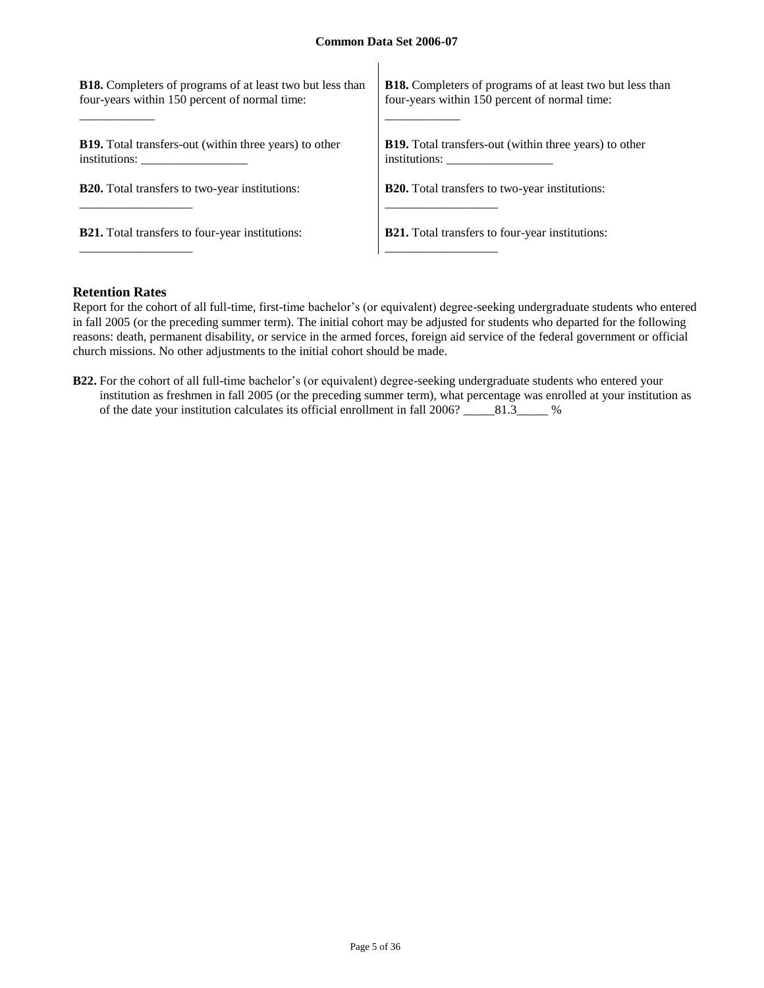$\mathbf{I}$ 

| <b>B18.</b> Completers of programs of at least two but less than | <b>B18.</b> Completers of programs of at least two but less than |
|------------------------------------------------------------------|------------------------------------------------------------------|
| four-years within 150 percent of normal time:                    | four-years within 150 percent of normal time:                    |
| <b>B19.</b> Total transfers-out (within three years) to other    | <b>B19.</b> Total transfers-out (within three years) to other    |
| institutions:                                                    | institutions:                                                    |
| <b>B20.</b> Total transfers to two-year institutions:            | <b>B20.</b> Total transfers to two-year institutions:            |
| <b>B21.</b> Total transfers to four-year institutions:           | <b>B21.</b> Total transfers to four-year institutions:           |

## **Retention Rates**

Report for the cohort of all full-time, first-time bachelor's (or equivalent) degree-seeking undergraduate students who entered in fall 2005 (or the preceding summer term). The initial cohort may be adjusted for students who departed for the following reasons: death, permanent disability, or service in the armed forces, foreign aid service of the federal government or official church missions. No other adjustments to the initial cohort should be made.

**B22.** For the cohort of all full-time bachelor's (or equivalent) degree-seeking undergraduate students who entered your institution as freshmen in fall 2005 (or the preceding summer term), what percentage was enrolled at your institution as of the date your institution calculates its official enrollment in fall 2006? \_\_\_\_\_81.3\_\_\_\_\_ %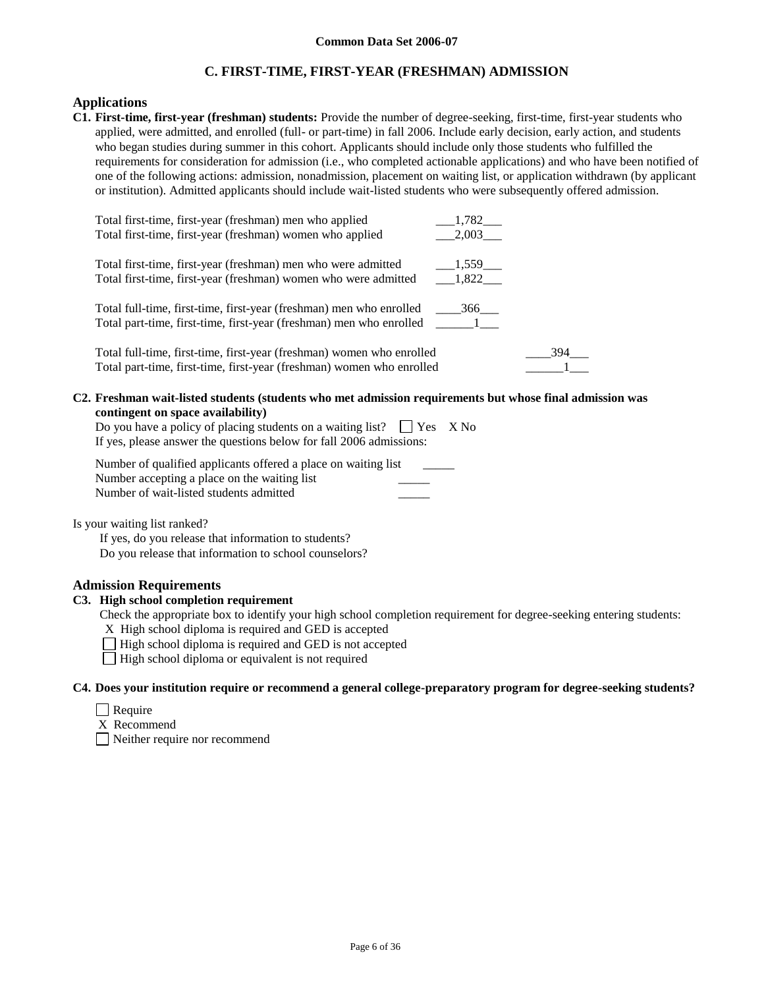# **C. FIRST-TIME, FIRST-YEAR (FRESHMAN) ADMISSION**

# **Applications**

**C1. First-time, first-year (freshman) students:** Provide the number of degree-seeking, first-time, first-year students who applied, were admitted, and enrolled (full- or part-time) in fall 2006. Include early decision, early action, and students who began studies during summer in this cohort. Applicants should include only those students who fulfilled the requirements for consideration for admission (i.e., who completed actionable applications) and who have been notified of one of the following actions: admission, nonadmission, placement on waiting list, or application withdrawn (by applicant or institution). Admitted applicants should include wait-listed students who were subsequently offered admission.

| Total first-time, first-year (freshman) men who applied               | 1,782         |
|-----------------------------------------------------------------------|---------------|
| Total first-time, first-year (freshman) women who applied             | 2,003         |
| Total first-time, first-year (freshman) men who were admitted         | 1,559         |
|                                                                       |               |
| Total first-time, first-year (freshman) women who were admitted       | 1,822         |
|                                                                       |               |
| Total full-time, first-time, first-year (freshman) men who enrolled   | 366           |
| Total part-time, first-time, first-year (freshman) men who enrolled   | $\frac{1}{2}$ |
|                                                                       |               |
| Total full-time, first-time, first-year (freshman) women who enrolled | 394           |
| Total part-time, first-time, first-year (freshman) women who enrolled |               |
|                                                                       |               |

#### **C2. Freshman wait-listed students (students who met admission requirements but whose final admission was contingent on space availability)**

| Do you have a policy of placing students on a waiting list? $\Box$ Yes X No |  |
|-----------------------------------------------------------------------------|--|
| If yes, please answer the questions below for fall 2006 admissions:         |  |

| Number of qualified applicants offered a place on waiting list |  |
|----------------------------------------------------------------|--|
| Number accepting a place on the waiting list                   |  |
| Number of wait-listed students admitted                        |  |

Is your waiting list ranked?

If yes, do you release that information to students? Do you release that information to school counselors?

## **Admission Requirements**

# **C3. High school completion requirement**

Check the appropriate box to identify your high school completion requirement for degree-seeking entering students:

X High school diploma is required and GED is accepted

□ High school diploma is required and GED is not accepted

 $\Box$  High school diploma or equivalent is not required

#### **C4. Does your institution require or recommend a general college-preparatory program for degree-seeking students?**

□ Require

X Recommend

Neither require nor recommend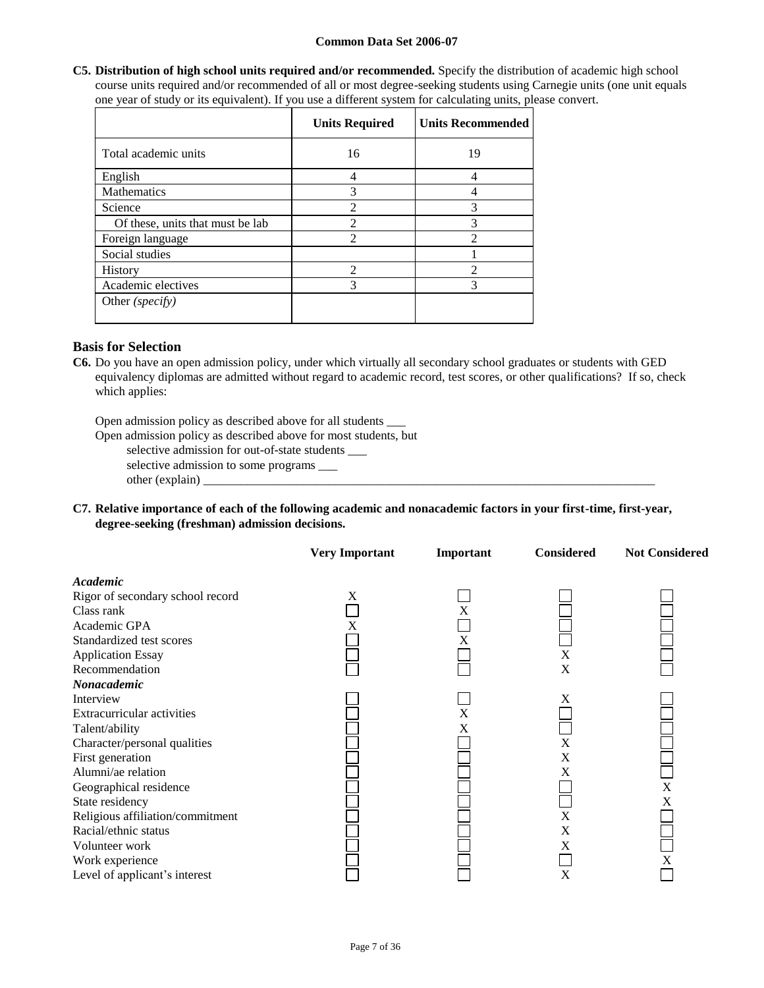**C5. Distribution of high school units required and/or recommended.** Specify the distribution of academic high school course units required and/or recommended of all or most degree-seeking students using Carnegie units (one unit equals one year of study or its equivalent). If you use a different system for calculating units, please convert.

|                                  | <b>Units Required</b> | <b>Units Recommended</b> |
|----------------------------------|-----------------------|--------------------------|
| Total academic units             | 16                    | 19                       |
| English                          | 4                     | 4                        |
| <b>Mathematics</b>               | 3                     | 4                        |
| Science                          | 2                     | 3                        |
| Of these, units that must be lab | $\overline{2}$        | 3                        |
| Foreign language                 | 2                     | ↑                        |
| Social studies                   |                       |                          |
| History                          | $\mathfrak{D}$        | っ                        |
| Academic electives               | 3                     | 3                        |
| Other ( <i>specify</i> )         |                       |                          |

## **Basis for Selection**

**C6.** Do you have an open admission policy, under which virtually all secondary school graduates or students with GED equivalency diplomas are admitted without regard to academic record, test scores, or other qualifications? If so, check which applies:

Open admission policy as described above for all students \_\_\_

Open admission policy as described above for most students, but

selective admission for out-of-state students \_\_\_

selective admission to some programs \_\_\_

other (explain) \_

**C7. Relative importance of each of the following academic and nonacademic factors in your first-time, first-year, degree-seeking (freshman) admission decisions.**

|                                  | <b>Very Important</b> | Important | <b>Considered</b> | <b>Not Considered</b> |
|----------------------------------|-----------------------|-----------|-------------------|-----------------------|
| Academic                         |                       |           |                   |                       |
| Rigor of secondary school record | X                     |           |                   |                       |
| Class rank                       |                       | X         |                   |                       |
| Academic GPA                     | X                     |           |                   |                       |
| Standardized test scores         |                       | X         |                   |                       |
| <b>Application Essay</b>         |                       |           | X                 |                       |
| Recommendation                   |                       |           | X                 |                       |
| Nonacademic                      |                       |           |                   |                       |
| Interview                        |                       |           | X                 |                       |
| Extracurricular activities       |                       | X         |                   |                       |
| Talent/ability                   |                       | X         |                   |                       |
| Character/personal qualities     |                       |           | X                 |                       |
| First generation                 |                       |           | X                 |                       |
| Alumni/ae relation               |                       |           | X                 |                       |
| Geographical residence           |                       |           |                   | $\mathbf x$           |
| State residency                  |                       |           |                   | X                     |
| Religious affiliation/commitment |                       |           | X                 |                       |
| Racial/ethnic status             |                       |           | X                 |                       |
| Volunteer work                   |                       |           | X                 |                       |
| Work experience                  |                       |           |                   | X                     |
| Level of applicant's interest    |                       |           | X                 |                       |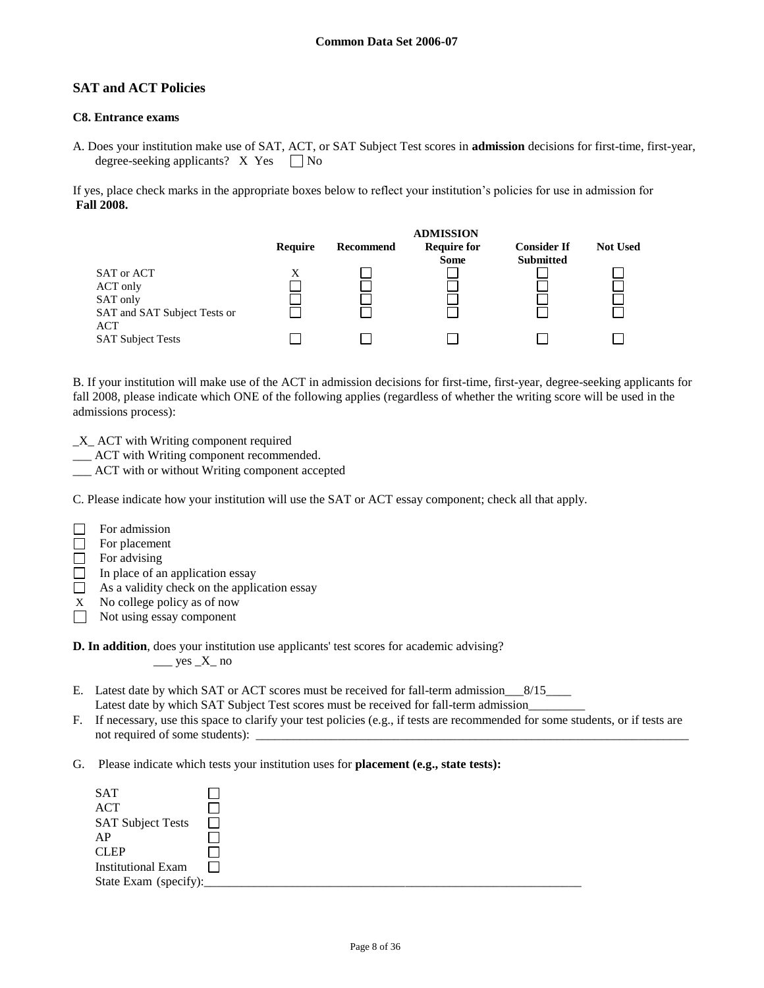# **SAT and ACT Policies**

#### **C8. Entrance exams**

A. Does your institution make use of SAT, ACT, or SAT Subject Test scores in **admission** decisions for first-time, first-year, degree-seeking applicants?  $X$  Yes  $\Box$  No

If yes, place check marks in the appropriate boxes below to reflect your institution's policies for use in admission for **Fall 2008.**



B. If your institution will make use of the ACT in admission decisions for first-time, first-year, degree-seeking applicants for fall 2008, please indicate which ONE of the following applies (regardless of whether the writing score will be used in the admissions process):

- \_X\_ ACT with Writing component required
- \_\_\_ ACT with Writing component recommended.
- ACT with or without Writing component accepted

C. Please indicate how your institution will use the SAT or ACT essay component; check all that apply.

- $\Box$ For admission
- $\Box$ For placement
- $\Box$  For advising
- $\Box$  In place of an application essay
- $\Box$  As a validity check on the application essay
- X No college policy as of now
- Not using essay component
- **D. In addition**, does your institution use applicants' test scores for academic advising?  $\_\_\_\$ yes  $\_X\_$  no
- E. Latest date by which SAT or ACT scores must be received for fall-term admission 8/15 Latest date by which SAT Subject Test scores must be received for fall-term admission
- F. If necessary, use this space to clarify your test policies (e.g., if tests are recommended for some students, or if tests are not required of some students):
- G. Please indicate which tests your institution uses for **placement (e.g., state tests):**

| <b>SAT</b>                |  |
|---------------------------|--|
| <b>ACT</b>                |  |
| <b>SAT Subject Tests</b>  |  |
| AP                        |  |
| <b>CLEP</b>               |  |
| <b>Institutional Exam</b> |  |
| State Exam (specify):     |  |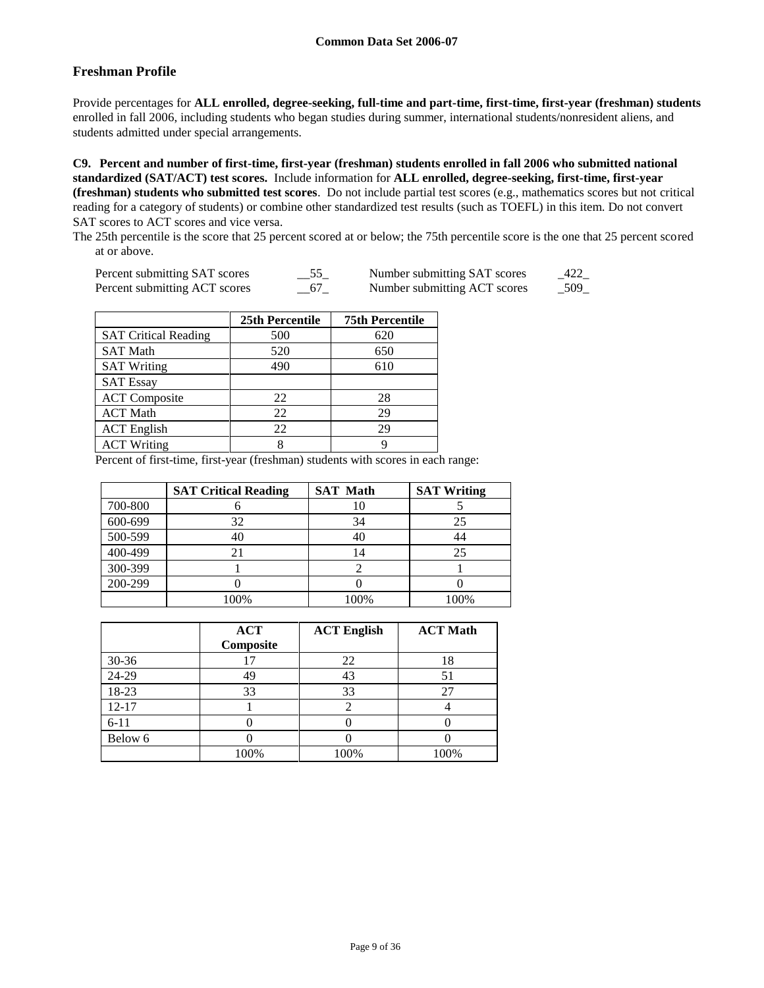# **Freshman Profile**

Provide percentages for **ALL enrolled, degree-seeking, full-time and part-time, first-time, first-year (freshman) students**  enrolled in fall 2006, including students who began studies during summer, international students/nonresident aliens, and students admitted under special arrangements.

**C9. Percent and number of first-time, first-year (freshman) students enrolled in fall 2006 who submitted national standardized (SAT/ACT) test scores.** Include information for **ALL enrolled, degree-seeking, first-time, first-year (freshman) students who submitted test scores**. Do not include partial test scores (e.g., mathematics scores but not critical reading for a category of students) or combine other standardized test results (such as TOEFL) in this item. Do not convert SAT scores to ACT scores and vice versa.

The 25th percentile is the score that 25 percent scored at or below; the 75th percentile score is the one that 25 percent scored at or above.

| Percent submitting SAT scores | $\equiv$ <sup><math>JJ</math></sup> $\equiv$ | Number submitting SAT scores | _422_ |
|-------------------------------|----------------------------------------------|------------------------------|-------|
| Percent submitting ACT scores |                                              | Number submitting ACT scores | 509   |

|                             | 25th Percentile | <b>75th Percentile</b> |
|-----------------------------|-----------------|------------------------|
| <b>SAT Critical Reading</b> | 500             | 620                    |
| <b>SAT Math</b>             | 520             | 650                    |
| <b>SAT Writing</b>          | 490             | 610                    |
| <b>SAT Essay</b>            |                 |                        |
| <b>ACT</b> Composite        | 22              | 28                     |
| <b>ACT</b> Math             | 22              | 29                     |
| <b>ACT</b> English          | 22              | 29                     |
| <b>ACT Writing</b>          |                 |                        |

Percent of first-time, first-year (freshman) students with scores in each range:

|         | <b>SAT Critical Reading</b> | <b>SAT Math</b> | <b>SAT Writing</b> |
|---------|-----------------------------|-----------------|--------------------|
| 700-800 |                             | 10              |                    |
| 600-699 | 32                          | 34              | 25                 |
| 500-599 | 40                          | 40              |                    |
| 400-499 |                             | 14              | 25                 |
| 300-399 |                             |                 |                    |
| 200-299 |                             |                 |                    |
|         | 100%                        | 100%            | 100%               |

|           | <b>ACT</b> | <b>ACT English</b> | <b>ACT Math</b> |
|-----------|------------|--------------------|-----------------|
|           | Composite  |                    |                 |
| $30 - 36$ | 7          | 22                 |                 |
| 24-29     | 49         | 43                 |                 |
| 18-23     | 33         | 33                 |                 |
| $12 - 17$ |            |                    |                 |
| $6 - 11$  |            |                    |                 |
| Below 6   |            |                    |                 |
|           | 100%       | 100%               | 100%            |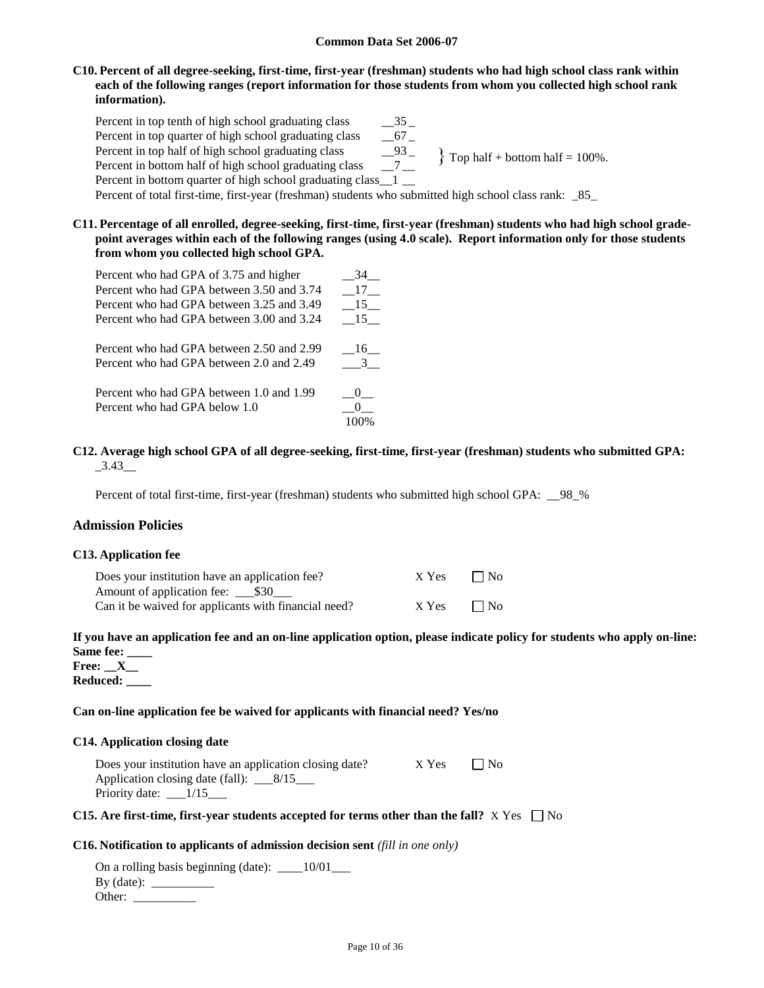### **C10. Percent of all degree-seeking, first-time, first-year (freshman) students who had high school class rank within each of the following ranges (report information for those students from whom you collected high school rank information).**

Percent in top tenth of high school graduating class  $35$ Percent in top quarter of high school graduating class \_\_67 \_ Percent in top half of high school graduating class \_\_93 \_\_<br>Percent in bottom half of high school graduating class \_\_7 \_\_ Percent in bottom half of high school graduating class Percent in bottom quarter of high school graduating class 1 Percent of total first-time, first-year (freshman) students who submitted high school class rank: \_85\_  $\}$  Top half + bottom half = 100%.

**C11. Percentage of all enrolled, degree-seeking, first-time, first-year (freshman) students who had high school gradepoint averages within each of the following ranges (using 4.0 scale). Report information only for those students from whom you collected high school GPA.**

| Percent who had GPA of 3.75 and higher                                                | 34 |
|---------------------------------------------------------------------------------------|----|
| Percent who had GPA between 3.50 and 3.74                                             | 17 |
| Percent who had GPA between 3.25 and 3.49                                             | 15 |
| Percent who had GPA between 3.00 and 3.24                                             | 15 |
| Percent who had GPA between 2.50 and 2.99<br>Percent who had GPA between 2.0 and 2.49 | 16 |
| Percent who had GPA between 1.0 and 1.99<br>Percent who had GPA below 1.0             |    |

### **C12. Average high school GPA of all degree-seeking, first-time, first-year (freshman) students who submitted GPA:**  $-3.43$ <sub>—</sub>

Percent of total first-time, first-year (freshman) students who submitted high school GPA: \_\_98\_%

## **Admission Policies**

#### **C13. Application fee**

| Does your institution have an application fee?       | X Yes | $\Box$ No |
|------------------------------------------------------|-------|-----------|
|                                                      |       |           |
| Can it be waived for applicants with financial need? | X Yes | $\Box$ No |

# **If you have an application fee and an on-line application option, please indicate policy for students who apply on-line: Same fee: \_\_\_\_**

**Free: \_\_X\_\_ Reduced: \_\_\_\_**

#### **Can on-line application fee be waived for applicants with financial need? Yes/no**

#### **C14. Application closing date**

| Does your institution have an application closing date? | X Yes | $\Box$ No |
|---------------------------------------------------------|-------|-----------|
| Application closing date (fall): $\frac{8}{15}$         |       |           |
| Priority date: $\_\_1/15$                               |       |           |

### **C15.** Are first-time, first-year students accepted for terms other than the fall?  $X$  Yes  $\Box$  No

#### **C16. Notification to applicants of admission decision sent** *(fill in one only)*

On a rolling basis beginning (date):  $\qquad 10/01$ By (date):  $\_\_$ Other: \_\_\_\_\_\_\_\_\_\_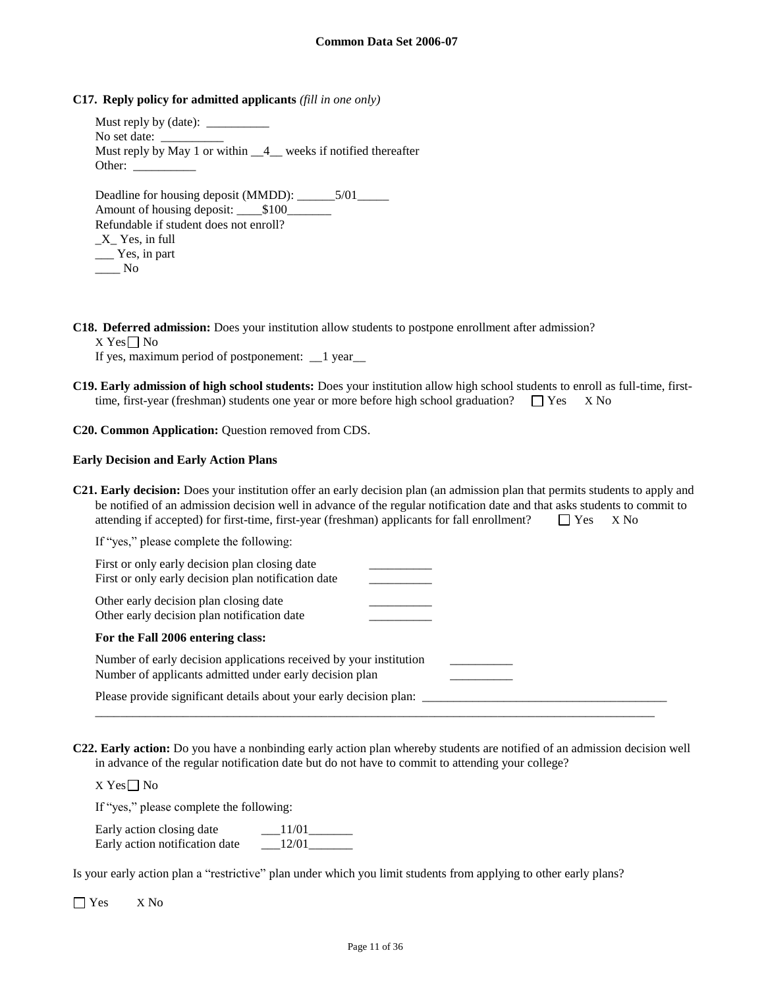### **C17. Reply policy for admitted applicants** *(fill in one only)*

| No set date:                                                    |
|-----------------------------------------------------------------|
| Must reply by May 1 or within $-4$ weeks if notified thereafter |
| Other:                                                          |
|                                                                 |
|                                                                 |
| Refundable if student does not enroll?                          |
| X Yes, in full                                                  |
| $Y$ es, in part                                                 |
| No                                                              |

**C18. Deferred admission:** Does your institution allow students to postpone enrollment after admission?

 $X$  Yes  $\Box$  No

If yes, maximum period of postponement: \_\_1 year\_\_

**C19. Early admission of high school students:** Does your institution allow high school students to enroll as full-time, firsttime, first-year (freshman) students one year or more before high school graduation?  $\square$  Yes  $\times$  No

#### **C20. Common Application:** Question removed from CDS.

#### **Early Decision and Early Action Plans**

| <b>C21. Early decision:</b> Does your institution offer an early decision plan (an admission plan that permits students to apply and<br>be notified of an admission decision well in advance of the regular notification date and that asks students to commit to<br>attending if accepted) for first-time, first-year (freshman) applicants for fall enrollment?<br>$\Box$ Yes<br>X No |
|-----------------------------------------------------------------------------------------------------------------------------------------------------------------------------------------------------------------------------------------------------------------------------------------------------------------------------------------------------------------------------------------|
| If "yes," please complete the following:                                                                                                                                                                                                                                                                                                                                                |
| First or only early decision plan closing date<br>First or only early decision plan notification date                                                                                                                                                                                                                                                                                   |
| Other early decision plan closing date<br>Other early decision plan notification date                                                                                                                                                                                                                                                                                                   |
| For the Fall 2006 entering class:                                                                                                                                                                                                                                                                                                                                                       |
| Number of early decision applications received by your institution<br>Number of applicants admitted under early decision plan                                                                                                                                                                                                                                                           |
| Please provide significant details about your early decision plan:                                                                                                                                                                                                                                                                                                                      |

**C22. Early action:** Do you have a nonbinding early action plan whereby students are notified of an admission decision well in advance of the regular notification date but do not have to commit to attending your college?

\_\_\_\_\_\_\_\_\_\_\_\_\_\_\_\_\_\_\_\_\_\_\_\_\_\_\_\_\_\_\_\_\_\_\_\_\_\_\_\_\_\_\_\_\_\_\_\_\_\_\_\_\_\_\_\_\_\_\_\_\_\_\_\_\_\_\_\_\_\_\_\_\_\_\_\_\_\_\_\_\_\_\_\_\_\_\_\_\_

 $X$  Yes $\Box$  No

If "yes," please complete the following:

| Early action closing date      | 11/01 |
|--------------------------------|-------|
| Early action notification date | 12/01 |

Is your early action plan a "restrictive" plan under which you limit students from applying to other early plans?

Yes X No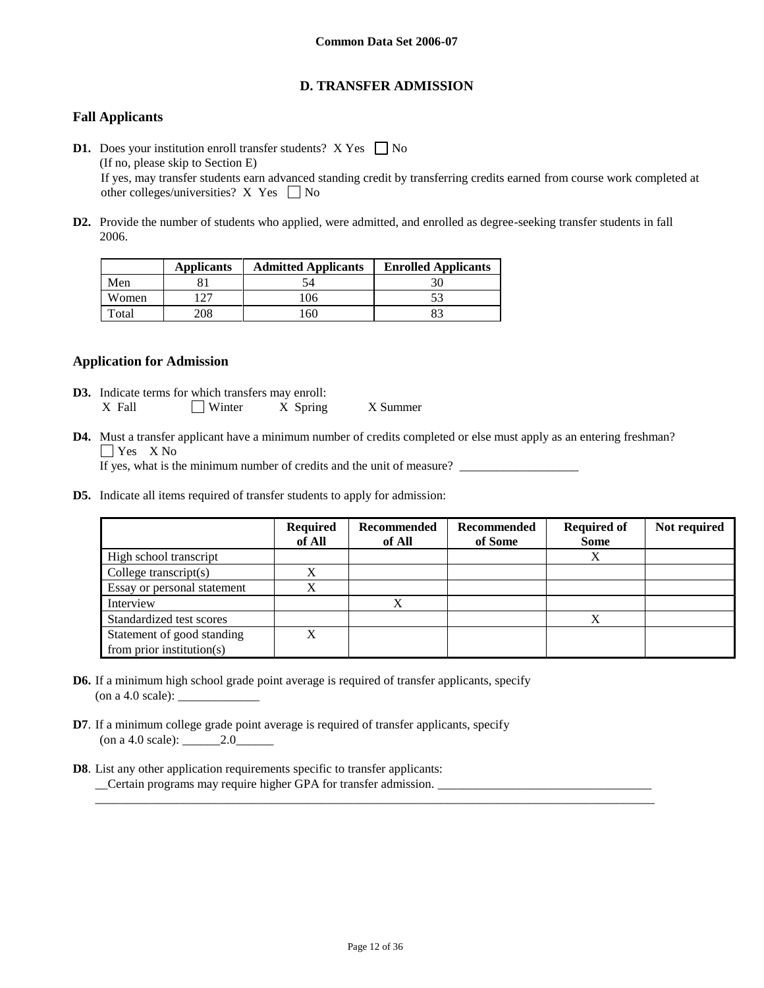# **D. TRANSFER ADMISSION**

# **Fall Applicants**

- **D1.** Does your institution enroll transfer students?  $X$  Yes  $\Box$  No (If no, please skip to Section E) If yes, may transfer students earn advanced standing credit by transferring credits earned from course work completed at other colleges/universities? X Yes  $\Box$  No
- **D2.** Provide the number of students who applied, were admitted, and enrolled as degree-seeking transfer students in fall 2006.

|       | <b>Applicants</b> | <b>Admitted Applicants</b> | <b>Enrolled Applicants</b> |
|-------|-------------------|----------------------------|----------------------------|
| Men   |                   |                            |                            |
| Women | າາ                | 106                        |                            |
| Total | 208               | '60                        |                            |

## **Application for Admission**

- **D3.** Indicate terms for which transfers may enroll: X Fall Winter X Spring X Summer
- **D4.** Must a transfer applicant have a minimum number of credits completed or else must apply as an entering freshman? **T** Yes X No

If yes, what is the minimum number of credits and the unit of measure?

**D5.** Indicate all items required of transfer students to apply for admission:

|                             | <b>Required</b><br>of All | Recommended<br>of All | Recommended<br>of Some | <b>Required of</b><br><b>Some</b> | Not required |
|-----------------------------|---------------------------|-----------------------|------------------------|-----------------------------------|--------------|
| High school transcript      |                           |                       |                        | Х                                 |              |
| College transcript $(s)$    | v                         |                       |                        |                                   |              |
| Essay or personal statement | v                         |                       |                        |                                   |              |
| Interview                   |                           | X                     |                        |                                   |              |
| Standardized test scores    |                           |                       |                        | Х                                 |              |
| Statement of good standing  | X                         |                       |                        |                                   |              |
| from prior institution(s)   |                           |                       |                        |                                   |              |

- **D6.** If a minimum high school grade point average is required of transfer applicants, specify (on a 4.0 scale):  $\_\_$
- **D7**. If a minimum college grade point average is required of transfer applicants, specify (on a 4.0 scale): \_\_\_\_\_\_2.0\_\_\_\_\_\_
- **D8**. List any other application requirements specific to transfer applicants: \_\_Certain programs may require higher GPA for transfer admission. \_\_\_\_\_\_\_\_\_\_\_\_\_\_\_\_\_\_\_\_\_\_\_\_\_\_\_\_\_\_\_\_\_\_

\_\_\_\_\_\_\_\_\_\_\_\_\_\_\_\_\_\_\_\_\_\_\_\_\_\_\_\_\_\_\_\_\_\_\_\_\_\_\_\_\_\_\_\_\_\_\_\_\_\_\_\_\_\_\_\_\_\_\_\_\_\_\_\_\_\_\_\_\_\_\_\_\_\_\_\_\_\_\_\_\_\_\_\_\_\_\_\_\_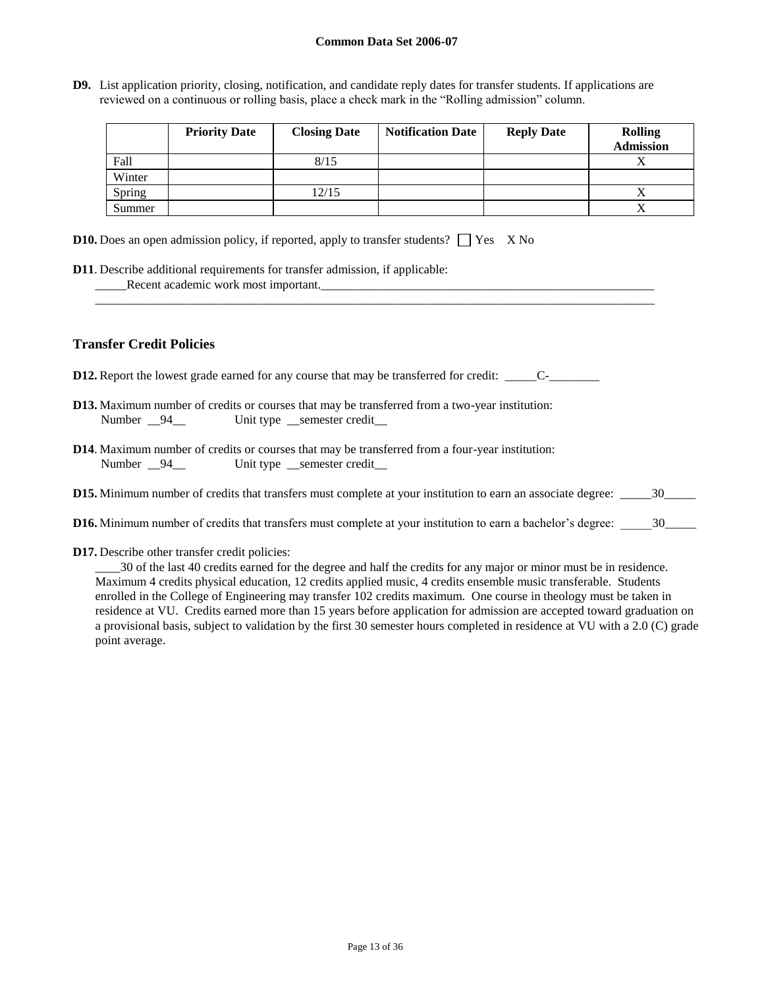**D9.** List application priority, closing, notification, and candidate reply dates for transfer students. If applications are reviewed on a continuous or rolling basis, place a check mark in the "Rolling admission" column.

|        | <b>Priority Date</b> | <b>Closing Date</b> | <b>Notification Date</b> | <b>Reply Date</b> | <b>Rolling</b><br><b>Admission</b> |
|--------|----------------------|---------------------|--------------------------|-------------------|------------------------------------|
| Fall   |                      | 8/15                |                          |                   | $\Lambda$                          |
| Winter |                      |                     |                          |                   |                                    |
| Spring |                      | 12/15               |                          |                   |                                    |
| Summer |                      |                     |                          |                   | Λ                                  |

|  |  | <b>D10.</b> Does an open admission policy, if reported, apply to transfer students? $\Box$ Yes X No |  |  |
|--|--|-----------------------------------------------------------------------------------------------------|--|--|
|--|--|-----------------------------------------------------------------------------------------------------|--|--|

| <b>D11.</b> Describe additional requirements for transfer admission, if applicable: |  |
|-------------------------------------------------------------------------------------|--|
| Recent academic work most important.                                                |  |

# **Transfer Credit Policies**

**D12.** Report the lowest grade earned for any course that may be transferred for credit: \_\_\_\_\_C-\_\_\_\_\_\_\_\_

|               | <b>D13.</b> Maximum number of credits or courses that may be transferred from a two-year institution: |
|---------------|-------------------------------------------------------------------------------------------------------|
| Number $\_94$ | Unit type semester credit                                                                             |

- **D14**. Maximum number of credits or courses that may be transferred from a four-year institution: Number  $\frac{94}{2}$  Unit type semester credit
- **D15.** Minimum number of credits that transfers must complete at your institution to earn an associate degree: \_\_\_\_\_\_30\_\_\_\_\_

\_\_\_\_\_\_\_\_\_\_\_\_\_\_\_\_\_\_\_\_\_\_\_\_\_\_\_\_\_\_\_\_\_\_\_\_\_\_\_\_\_\_\_\_\_\_\_\_\_\_\_\_\_\_\_\_\_\_\_\_\_\_\_\_\_\_\_\_\_\_\_\_\_\_\_\_\_\_\_\_\_\_\_\_\_\_\_\_\_

- **D16.** Minimum number of credits that transfers must complete at your institution to earn a bachelor's degree:  $\frac{30}{20}$
- **D17.** Describe other transfer credit policies:

\_\_\_\_30 of the last 40 credits earned for the degree and half the credits for any major or minor must be in residence. Maximum 4 credits physical education, 12 credits applied music, 4 credits ensemble music transferable. Students enrolled in the College of Engineering may transfer 102 credits maximum. One course in theology must be taken in residence at VU. Credits earned more than 15 years before application for admission are accepted toward graduation on a provisional basis, subject to validation by the first 30 semester hours completed in residence at VU with a 2.0 (C) grade point average.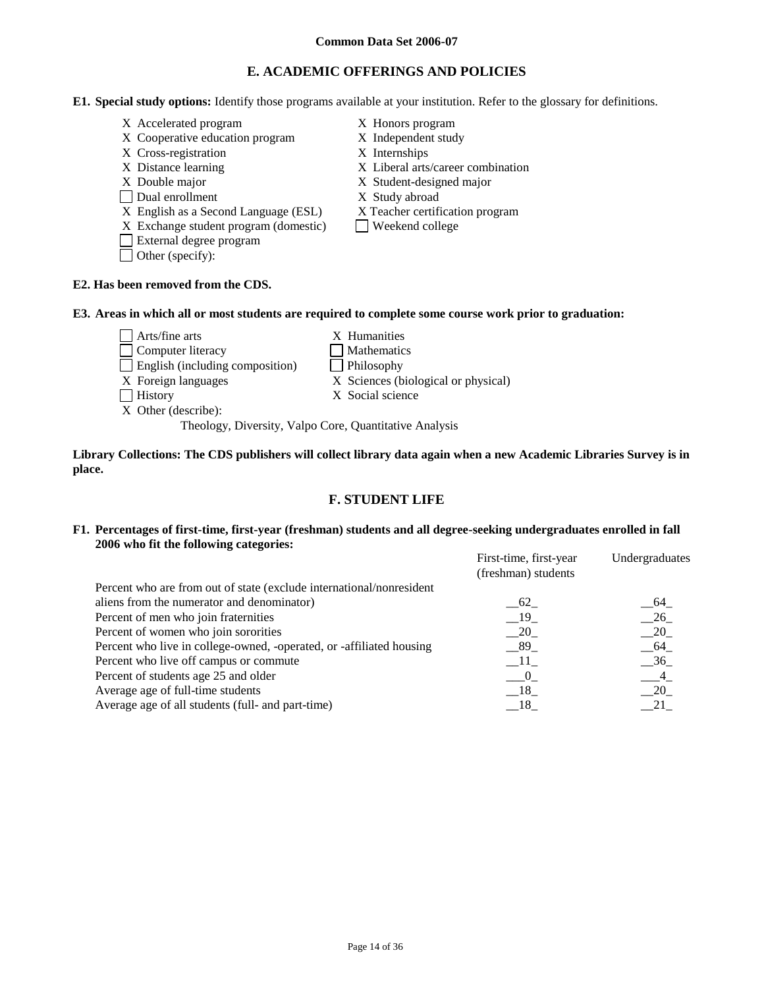# **E. ACADEMIC OFFERINGS AND POLICIES**

- **E1. Special study options:** Identify those programs available at your institution. Refer to the glossary for definitions.
	- X Accelerated program X Honors program
	- X Cooperative education program X Independent study
	- X Cross-registration X Internships
	-
	-
	- Dual enrollment X Study abroad
	-
	- X English as a Second Language (ESL) X Teacher certification program<br>X Exchange student program (domestic)  $\Box$  Weekend college  $X$  Exchange student program (domestic)
	- External degree program
	- Other (specify):
- 
- 
- 
- X Distance learning X Liberal arts/career combination
- X Double major X Student-designed major
	-
	-
	-

# **E2. Has been removed from the CDS.**

#### **E3. Areas in which all or most students are required to complete some course work prior to graduation:**

| $\sqrt{\frac{1}{1}}$ Arts/fine arts | X Humanities                        |
|-------------------------------------|-------------------------------------|
| Computer literacy                   | Mathematics                         |
| English (including composition)     | Philosophy                          |
| X Foreign languages                 | X Sciences (biological or physical) |
| History                             | X Social science                    |
| X Other (describe):                 |                                     |

Theology, Diversity, Valpo Core, Quantitative Analysis

#### **Library Collections: The CDS publishers will collect library data again when a new Academic Libraries Survey is in place.**

# **F. STUDENT LIFE**

### **F1. Percentages of first-time, first-year (freshman) students and all degree-seeking undergraduates enrolled in fall 2006 who fit the following categories:**

|                                                                      | First-time, first-year<br>(freshman) students | Undergraduates |
|----------------------------------------------------------------------|-----------------------------------------------|----------------|
| Percent who are from out of state (exclude international/nonresident |                                               |                |
| aliens from the numerator and denominator)                           | 62                                            | - 64           |
| Percent of men who join fraternities                                 | $-19$                                         | $-26$          |
| Percent of women who join sororities                                 | 20                                            | $-20$          |
| Percent who live in college-owned, -operated, or -affiliated housing | $-89$                                         | $-64$          |
| Percent who live off campus or commute                               | $-11$                                         | $-36$          |
| Percent of students age 25 and older                                 | $\hspace{1.6cm}0$                             | $\overline{4}$ |
| Average age of full-time students                                    | $-18$                                         | 20             |
| Average age of all students (full- and part-time)                    | - 18                                          |                |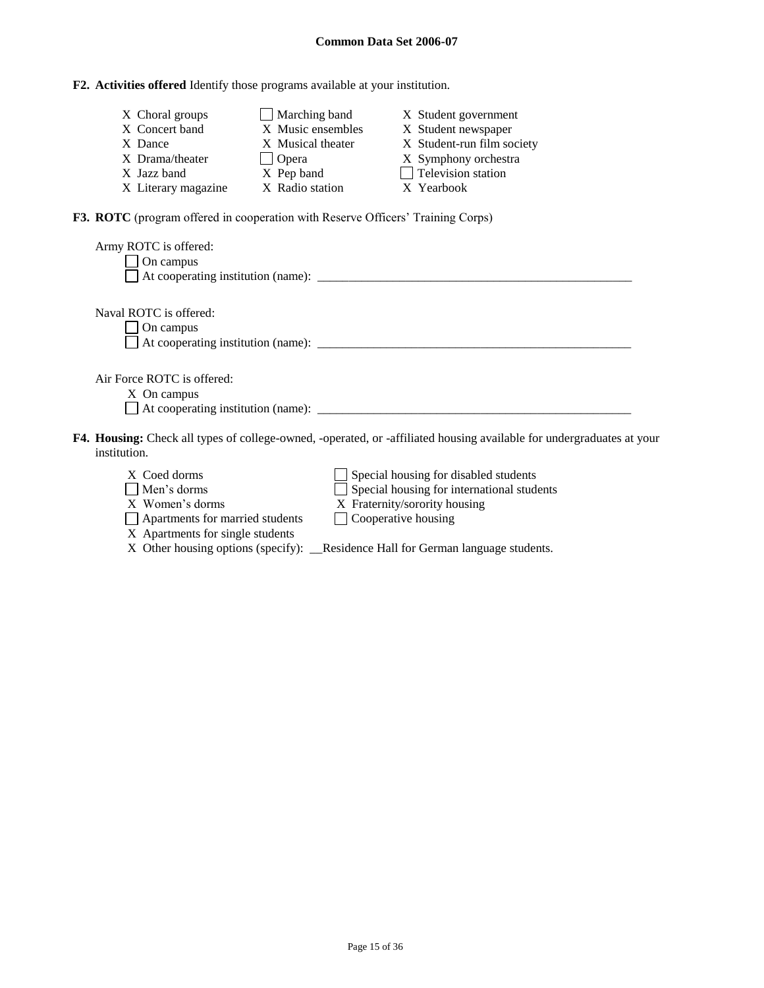# **F2. Activities offered** Identify those programs available at your institution.

| X Choral groups     | Marching band     | X Student government       |
|---------------------|-------------------|----------------------------|
| X Concert band      | X Music ensembles | X Student newspaper        |
| X Dance             | X Musical theater | X Student-run film society |
| X Drama/theater     | $\bigcup$ Opera   | X Symphony orchestra       |
| X Jazz band         | X Pep band        | $\Box$ Television station  |
| X Literary magazine | X Radio station   | X Yearbook                 |

**F3. ROTC** (program offered in cooperation with Reserve Officers' Training Corps)

| Army ROTC is offered:<br>$\Box$ On campus                                                                                |
|--------------------------------------------------------------------------------------------------------------------------|
| Naval ROTC is offered:<br>$\Box$ On campus                                                                               |
| Air Force ROTC is offered:<br>X On campus                                                                                |
| <b>4. Housing:</b> Check all types of college-owned, -operated, or -affiliated housing available for undergraduates at y |

F4. Housing: Check all types of college-owned, -operated, or -affiliated housing available for undergraduates at your institution **Housing: C** institution.

| X Coed dorms                     | $\Box$ Special housing for disabled students                                      |
|----------------------------------|-----------------------------------------------------------------------------------|
| $\Box$ Men's dorms               | Special housing for international students                                        |
| X Women's dorms                  | X Fraternity/sorority housing                                                     |
| Apartments for married students  | $\Box$ Cooperative housing                                                        |
| X Apartments for single students |                                                                                   |
|                                  | X Other housing options (specify): __Residence Hall for German language students. |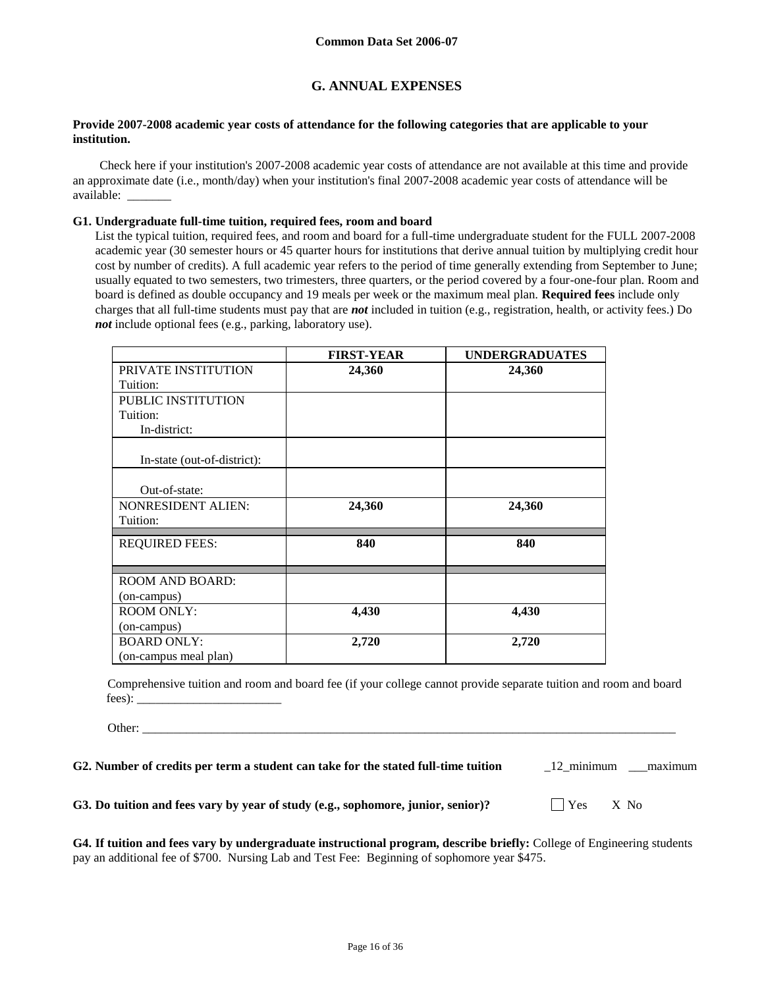# **G. ANNUAL EXPENSES**

#### **Provide 2007-2008 academic year costs of attendance for the following categories that are applicable to your institution.**

Check here if your institution's 2007-2008 academic year costs of attendance are not available at this time and provide an approximate date (i.e., month/day) when your institution's final 2007-2008 academic year costs of attendance will be available: \_\_\_\_\_\_\_

#### **G1. Undergraduate full-time tuition, required fees, room and board**

List the typical tuition, required fees, and room and board for a full-time undergraduate student for the FULL 2007-2008 academic year (30 semester hours or 45 quarter hours for institutions that derive annual tuition by multiplying credit hour cost by number of credits). A full academic year refers to the period of time generally extending from September to June; usually equated to two semesters, two trimesters, three quarters, or the period covered by a four-one-four plan. Room and board is defined as double occupancy and 19 meals per week or the maximum meal plan. **Required fees** include only charges that all full-time students must pay that are *not* included in tuition (e.g., registration, health, or activity fees.) Do *not* include optional fees (e.g., parking, laboratory use).

|                             | <b>FIRST-YEAR</b> | <b>UNDERGRADUATES</b> |
|-----------------------------|-------------------|-----------------------|
| PRIVATE INSTITUTION         | 24,360            | 24,360                |
| Tuition:                    |                   |                       |
| PUBLIC INSTITUTION          |                   |                       |
| Tuition:                    |                   |                       |
| In-district:                |                   |                       |
| In-state (out-of-district): |                   |                       |
| Out-of-state:               |                   |                       |
| <b>NONRESIDENT ALIEN:</b>   | 24,360            | 24,360                |
| Tuition:                    |                   |                       |
| <b>REQUIRED FEES:</b>       | 840               | 840                   |
| <b>ROOM AND BOARD:</b>      |                   |                       |
| (on-campus)                 |                   |                       |
| <b>ROOM ONLY:</b>           | 4,430             | 4,430                 |
| (on-campus)                 |                   |                       |
| <b>BOARD ONLY:</b>          | 2,720             | 2,720                 |
| (on-campus meal plan)       |                   |                       |

Comprehensive tuition and room and board fee (if your college cannot provide separate tuition and room and board fees):

Other: \_\_\_\_\_\_\_\_\_\_\_\_\_\_\_\_\_\_\_\_\_\_\_\_\_\_\_\_\_\_\_\_\_\_\_\_\_\_\_\_\_\_\_\_\_\_\_\_\_\_\_\_\_\_\_\_\_\_\_\_\_\_\_\_\_\_\_\_\_\_\_\_\_\_\_\_\_\_\_\_\_\_\_\_\_

**G2. Number of credits per term a student can take for the stated full-time tuition** \_12\_minimum \_\_\_maximum

**G3.** Do tuition and fees vary by year of study (e.g., sophomore, junior, senior)? Yes X No

**G4. If tuition and fees vary by undergraduate instructional program, describe briefly:** College of Engineering students pay an additional fee of \$700. Nursing Lab and Test Fee: Beginning of sophomore year \$475.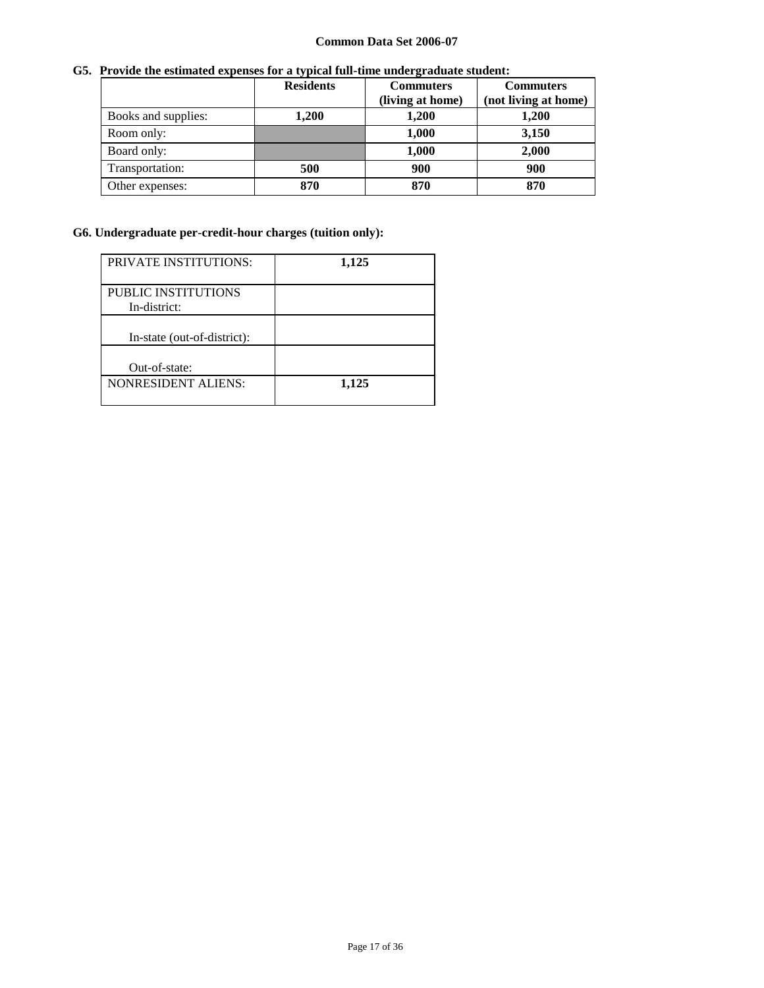# **G5. Provide the estimated expenses for a typical full-time undergraduate student:**

|                     | <b>Residents</b> | <b>Commuters</b> | <b>Commuters</b>     |
|---------------------|------------------|------------------|----------------------|
|                     |                  | (living at home) | (not living at home) |
| Books and supplies: | 1,200            | 1,200            | 1,200                |
| Room only:          |                  | 1,000            | 3,150                |
| Board only:         |                  | 1,000            | 2,000                |
| Transportation:     | 500              | 900              | 900                  |
| Other expenses:     | 870              | 870              | 870                  |

# **G6. Undergraduate per-credit-hour charges (tuition only):**

| <b>PRIVATE INSTITUTIONS:</b>        | 1,125 |
|-------------------------------------|-------|
| PUBLIC INSTITUTIONS<br>In-district: |       |
| In-state (out-of-district):         |       |
| Out-of-state:                       |       |
| <b>NONRESIDENT ALIENS:</b>          | 1,125 |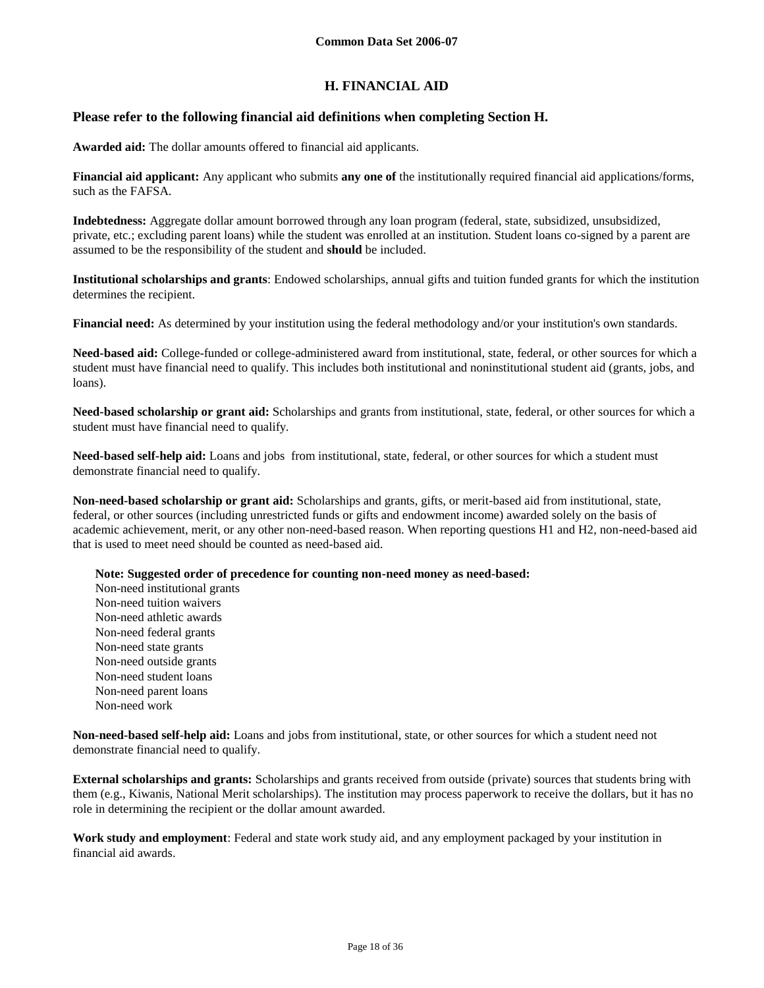# **H. FINANCIAL AID**

## **Please refer to the following financial aid definitions when completing Section H.**

**Awarded aid:** The dollar amounts offered to financial aid applicants.

**Financial aid applicant:** Any applicant who submits **any one of** the institutionally required financial aid applications/forms, such as the FAFSA.

**Indebtedness:** Aggregate dollar amount borrowed through any loan program (federal, state, subsidized, unsubsidized, private, etc.; excluding parent loans) while the student was enrolled at an institution. Student loans co-signed by a parent are assumed to be the responsibility of the student and **should** be included.

**Institutional scholarships and grants**: Endowed scholarships, annual gifts and tuition funded grants for which the institution determines the recipient.

**Financial need:** As determined by your institution using the federal methodology and/or your institution's own standards.

**Need-based aid:** College-funded or college-administered award from institutional, state, federal, or other sources for which a student must have financial need to qualify. This includes both institutional and noninstitutional student aid (grants, jobs, and loans).

**Need-based scholarship or grant aid:** Scholarships and grants from institutional, state, federal, or other sources for which a student must have financial need to qualify.

**Need-based self-help aid:** Loans and jobs from institutional, state, federal, or other sources for which a student must demonstrate financial need to qualify.

**Non-need-based scholarship or grant aid:** Scholarships and grants, gifts, or merit-based aid from institutional, state, federal, or other sources (including unrestricted funds or gifts and endowment income) awarded solely on the basis of academic achievement, merit, or any other non-need-based reason. When reporting questions H1 and H2, non-need-based aid that is used to meet need should be counted as need-based aid.

**Note: Suggested order of precedence for counting non-need money as need-based:**

Non-need institutional grants Non-need tuition waivers Non-need athletic awards Non-need federal grants Non-need state grants Non-need outside grants Non-need student loans Non-need parent loans Non-need work

**Non-need-based self-help aid:** Loans and jobs from institutional, state, or other sources for which a student need not demonstrate financial need to qualify.

**External scholarships and grants:** Scholarships and grants received from outside (private) sources that students bring with them (e.g., Kiwanis, National Merit scholarships). The institution may process paperwork to receive the dollars, but it has no role in determining the recipient or the dollar amount awarded.

**Work study and employment**: Federal and state work study aid, and any employment packaged by your institution in financial aid awards.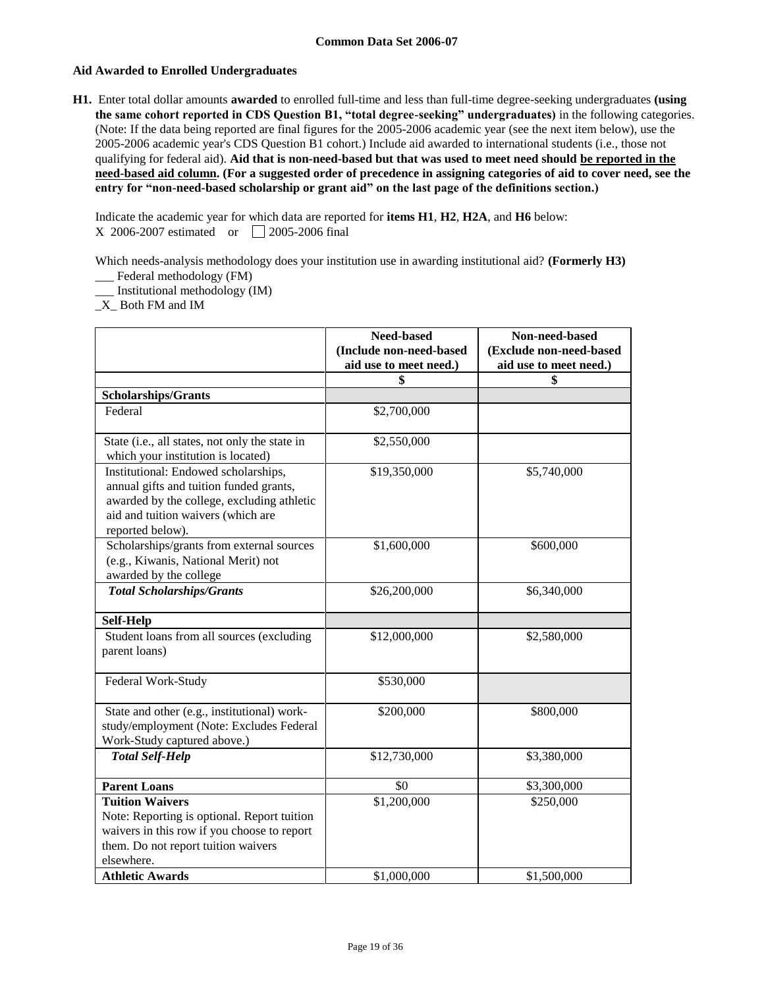### **Aid Awarded to Enrolled Undergraduates**

**H1.** Enter total dollar amounts **awarded** to enrolled full-time and less than full-time degree-seeking undergraduates **(using the same cohort reported in CDS Question B1, "total degree-seeking" undergraduates)** in the following categories. (Note: If the data being reported are final figures for the 2005-2006 academic year (see the next item below), use the 2005-2006 academic year's CDS Question B1 cohort.) Include aid awarded to international students (i.e., those not qualifying for federal aid). **Aid that is non-need-based but that was used to meet need should be reported in the need-based aid column. (For a suggested order of precedence in assigning categories of aid to cover need, see the entry for "non-need-based scholarship or grant aid" on the last page of the definitions section.)**

Indicate the academic year for which data are reported for **items H1**, **H2**, **H2A**, and **H6** below: X 2006-2007 estimated or 2005-2006 final

Which needs-analysis methodology does your institution use in awarding institutional aid? **(Formerly H3)** \_\_\_ Federal methodology (FM)

\_\_\_ Institutional methodology (IM)

\_X\_ Both FM and IM

|                                                                                                                                                                                         | Need-based<br>(Include non-need-based<br>aid use to meet need.) | Non-need-based<br>(Exclude non-need-based<br>aid use to meet need.) |
|-----------------------------------------------------------------------------------------------------------------------------------------------------------------------------------------|-----------------------------------------------------------------|---------------------------------------------------------------------|
|                                                                                                                                                                                         | \$                                                              | \$                                                                  |
| <b>Scholarships/Grants</b>                                                                                                                                                              |                                                                 |                                                                     |
| Federal                                                                                                                                                                                 | \$2,700,000                                                     |                                                                     |
| State (i.e., all states, not only the state in<br>which your institution is located)                                                                                                    | \$2,550,000                                                     |                                                                     |
| Institutional: Endowed scholarships,<br>annual gifts and tuition funded grants,<br>awarded by the college, excluding athletic<br>aid and tuition waivers (which are<br>reported below). | \$19,350,000                                                    | \$5,740,000                                                         |
| Scholarships/grants from external sources<br>(e.g., Kiwanis, National Merit) not<br>awarded by the college                                                                              | \$1,600,000                                                     | \$600,000                                                           |
| <b>Total Scholarships/Grants</b>                                                                                                                                                        | \$26,200,000                                                    | \$6,340,000                                                         |
| <b>Self-Help</b>                                                                                                                                                                        |                                                                 |                                                                     |
| Student loans from all sources (excluding<br>parent loans)                                                                                                                              | \$12,000,000                                                    | \$2,580,000                                                         |
| Federal Work-Study                                                                                                                                                                      | \$530,000                                                       |                                                                     |
| State and other (e.g., institutional) work-<br>study/employment (Note: Excludes Federal<br>Work-Study captured above.)                                                                  | \$200,000                                                       | \$800,000                                                           |
| <b>Total Self-Help</b>                                                                                                                                                                  | \$12,730,000                                                    | \$3,380,000                                                         |
| <b>Parent Loans</b>                                                                                                                                                                     | \$0                                                             | \$3,300,000                                                         |
| <b>Tuition Waivers</b><br>Note: Reporting is optional. Report tuition<br>waivers in this row if you choose to report<br>them. Do not report tuition waivers<br>elsewhere.               | \$1,200,000                                                     | \$250,000                                                           |
| <b>Athletic Awards</b>                                                                                                                                                                  | \$1,000,000                                                     | \$1,500,000                                                         |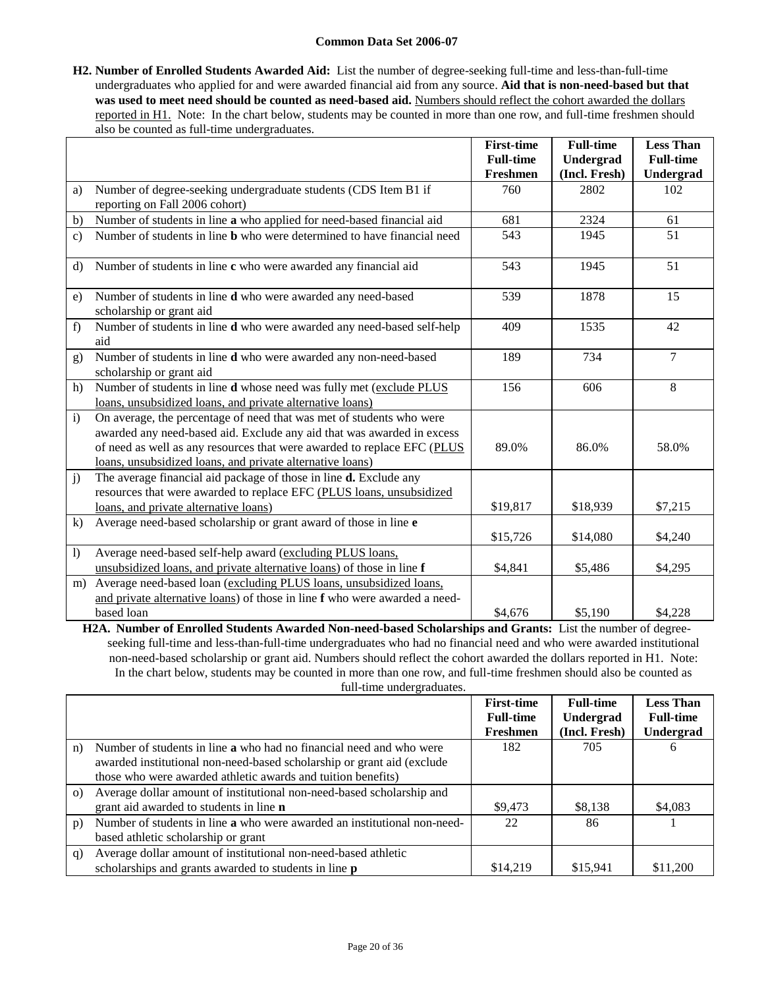**H2. Number of Enrolled Students Awarded Aid:** List the number of degree-seeking full-time and less-than-full-time undergraduates who applied for and were awarded financial aid from any source. **Aid that is non-need-based but that**  was used to meet need should be counted as need-based aid. Numbers should reflect the cohort awarded the dollars reported in H1. Note: In the chart below, students may be counted in more than one row, and full-time freshmen should also be counted as full-time undergraduates.

|                  |                                                                                | <b>First-time</b> | <b>Full-time</b> | <b>Less Than</b> |
|------------------|--------------------------------------------------------------------------------|-------------------|------------------|------------------|
|                  |                                                                                | <b>Full-time</b>  | Undergrad        | <b>Full-time</b> |
|                  |                                                                                | Freshmen          | (Incl. Fresh)    | Undergrad        |
| a)               | Number of degree-seeking undergraduate students (CDS Item B1 if                | 760               | 2802             | 102              |
|                  | reporting on Fall 2006 cohort)                                                 |                   |                  |                  |
| b)               | Number of students in line a who applied for need-based financial aid          | 681               | 2324             | 61               |
| $\mathbf{c}$ )   | Number of students in line <b>b</b> who were determined to have financial need | 543               | 1945             | 51               |
| $\rm d$          | Number of students in line c who were awarded any financial aid                | 543               | 1945             | 51               |
|                  |                                                                                |                   |                  |                  |
| e)               | Number of students in line d who were awarded any need-based                   | 539               | 1878             | 15               |
|                  | scholarship or grant aid                                                       |                   |                  |                  |
| f)               | Number of students in line <b>d</b> who were awarded any need-based self-help  | 409               | 1535             | 42               |
|                  | aid                                                                            |                   |                  |                  |
| g)               | Number of students in line d who were awarded any non-need-based               | 189               | 734              | $\overline{7}$   |
|                  | scholarship or grant aid                                                       |                   |                  |                  |
| h)               | Number of students in line d whose need was fully met (exclude PLUS            | 156               | 606              | 8                |
|                  | loans, unsubsidized loans, and private alternative loans)                      |                   |                  |                  |
| $\mathbf{i}$     | On average, the percentage of need that was met of students who were           |                   |                  |                  |
|                  | awarded any need-based aid. Exclude any aid that was awarded in excess         |                   |                  |                  |
|                  | of need as well as any resources that were awarded to replace EFC (PLUS        | 89.0%             | 86.0%            | 58.0%            |
|                  | loans, unsubsidized loans, and private alternative loans)                      |                   |                  |                  |
| j)               | The average financial aid package of those in line <b>d.</b> Exclude any       |                   |                  |                  |
|                  | resources that were awarded to replace EFC (PLUS loans, unsubsidized           |                   |                  |                  |
|                  | loans, and private alternative loans)                                          | \$19,817          | \$18,939         | \$7,215          |
| $\bf k$          | Average need-based scholarship or grant award of those in line e               |                   |                  |                  |
|                  |                                                                                | \$15,726          | \$14,080         | \$4,240          |
| $\left( \right)$ | Average need-based self-help award (excluding PLUS loans,                      |                   |                  |                  |
|                  | unsubsidized loans, and private alternative loans) of those in line f          | \$4,841           | \$5,486          | \$4,295          |
| m)               | Average need-based loan (excluding PLUS loans, unsubsidized loans,             |                   |                  |                  |
|                  | and private alternative loans) of those in line f who were awarded a need-     |                   |                  |                  |
|                  | based loan                                                                     | \$4,676           | \$5,190          | \$4,228          |

**H2A. Number of Enrolled Students Awarded Non-need-based Scholarships and Grants:** List the number of degreeseeking full-time and less-than-full-time undergraduates who had no financial need and who were awarded institutional non-need-based scholarship or grant aid. Numbers should reflect the cohort awarded the dollars reported in H1. Note: In the chart below, students may be counted in more than one row, and full-time freshmen should also be counted as full-time undergraduates

|          |                                                                            | <b>First-time</b> | <b>Full-time</b> | <b>Less Than</b> |
|----------|----------------------------------------------------------------------------|-------------------|------------------|------------------|
|          |                                                                            | <b>Full-time</b>  | Undergrad        | <b>Full-time</b> |
|          |                                                                            | Freshmen          | (Incl. Fresh)    | <b>Undergrad</b> |
| n)       | Number of students in line <b>a</b> who had no financial need and who were | 182               | 705              | 6                |
|          | awarded institutional non-need-based scholarship or grant aid (exclude     |                   |                  |                  |
|          | those who were awarded athletic awards and tuition benefits)               |                   |                  |                  |
| $\Omega$ | Average dollar amount of institutional non-need-based scholarship and      |                   |                  |                  |
|          | grant aid awarded to students in line <b>n</b>                             | \$9,473           | \$8,138          | \$4,083          |
| p)       | Number of students in line a who were awarded an institutional non-need-   | 22                | 86               |                  |
|          | based athletic scholarship or grant                                        |                   |                  |                  |
| q)       | Average dollar amount of institutional non-need-based athletic             |                   |                  |                  |
|          | scholarships and grants awarded to students in line <b>p</b>               | \$14,219          | \$15,941         | \$11,200         |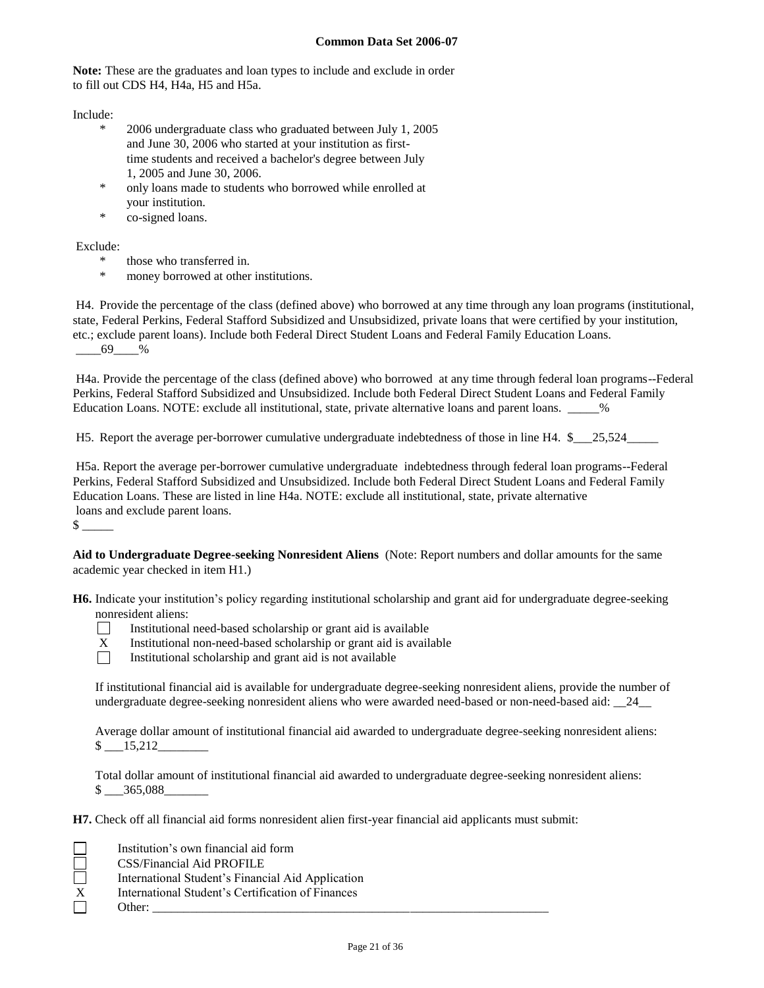**Note:** These are the graduates and loan types to include and exclude in order to fill out CDS H4, H4a, H5 and H5a.

Include:

- 2006 undergraduate class who graduated between July 1, 2005 and June 30, 2006 who started at your institution as firsttime students and received a bachelor's degree between July 1, 2005 and June 30, 2006.
- \* only loans made to students who borrowed while enrolled at your institution.
- \* co-signed loans.

# Exclude:

- \* those who transferred in.
- money borrowed at other institutions.

H4. Provide the percentage of the class (defined above) who borrowed at any time through any loan programs (institutional, state, Federal Perkins, Federal Stafford Subsidized and Unsubsidized, private loans that were certified by your institution, etc.; exclude parent loans). Include both Federal Direct Student Loans and Federal Family Education Loans.  $-69$  %

H4a. Provide the percentage of the class (defined above) who borrowed at any time through federal loan programs--Federal Perkins, Federal Stafford Subsidized and Unsubsidized. Include both Federal Direct Student Loans and Federal Family Education Loans. NOTE: exclude all institutional, state, private alternative loans and parent loans. \_\_\_\_\_%

H5. Report the average per-borrower cumulative undergraduate indebtedness of those in line H4. \$ 25,524

H5a. Report the average per-borrower cumulative undergraduate indebtedness through federal loan programs--Federal Perkins, Federal Stafford Subsidized and Unsubsidized. Include both Federal Direct Student Loans and Federal Family Education Loans. These are listed in line H4a. NOTE: exclude all institutional, state, private alternative loans and exclude parent loans.  $\frac{1}{2}$ 

**Aid to Undergraduate Degree-seeking Nonresident Aliens** (Note: Report numbers and dollar amounts for the same academic year checked in item H1.)

**H6.** Indicate your institution's policy regarding institutional scholarship and grant aid for undergraduate degree-seeking nonresident aliens:



- Institutional need-based scholarship or grant aid is available
- $X$  Institutional non-need-based scholarship or grant aid is available<br>Institutional scholarship and grant aid is not available
	- Institutional scholarship and grant aid is not available

If institutional financial aid is available for undergraduate degree-seeking nonresident aliens, provide the number of undergraduate degree-seeking nonresident aliens who were awarded need-based or non-need-based aid: \_\_24\_\_

Average dollar amount of institutional financial aid awarded to undergraduate degree-seeking nonresident aliens: \$ \_\_\_15,212\_\_\_\_\_\_\_\_

Total dollar amount of institutional financial aid awarded to undergraduate degree-seeking nonresident aliens: \$ \_\_\_365,088\_\_\_\_\_\_\_

**H7.** Check off all financial aid forms nonresident alien first-year financial aid applicants must submit:

| - | ╸ |
|---|---|
|   |   |
|   |   |
|   |   |
|   |   |

Institution's own financial aid form

CSS/Financial Aid PROFILE

International Student's Financial Aid Application

International Student's Certification of Finances

Other: \_\_\_\_\_\_\_\_\_\_\_\_\_\_\_\_\_\_\_\_\_\_\_\_\_\_\_\_\_\_\_\_\_\_\_\_\_\_\_\_\_\_\_\_\_\_\_\_\_\_\_\_\_\_\_\_\_\_\_\_\_\_\_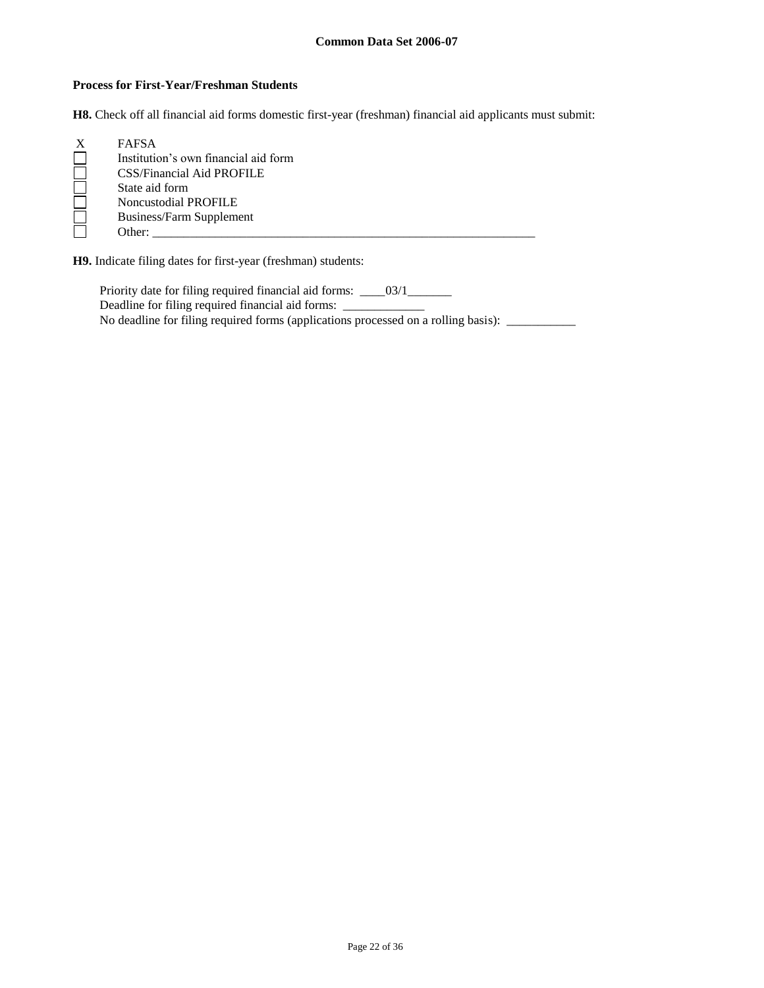### **Process for First-Year/Freshman Students**

**H8.** Check off all financial aid forms domestic first-year (freshman) financial aid applicants must submit:

| <b>FAFSA</b>                         |
|--------------------------------------|
| Institution's own financial aid form |
| <b>CSS/Financial Aid PROFILE</b>     |
| State aid form                       |
| Noncustodial PROFILE                 |
| Business/Farm Supplement             |
| Other:                               |

**H9.** Indicate filing dates for first-year (freshman) students:

Priority date for filing required financial aid forms: \_\_\_\_03/1\_\_\_\_\_\_\_\_ Deadline for filing required financial aid forms: \_\_\_\_\_\_\_\_\_\_\_\_\_\_\_\_\_\_\_\_\_\_\_\_\_\_\_\_\_\_\_ No deadline for filing required forms (applications processed on a rolling basis): \_\_\_\_\_\_\_\_\_\_\_\_\_\_\_\_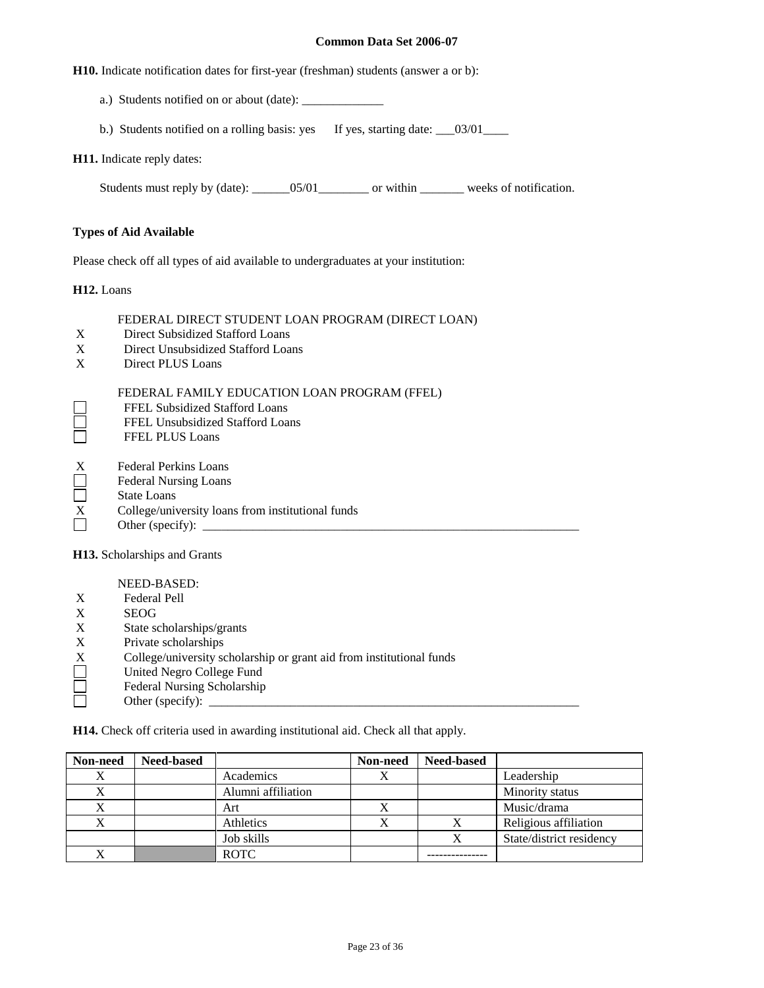**H10.** Indicate notification dates for first-year (freshman) students (answer a or b):

- a.) Students notified on or about (date): \_\_\_\_\_\_\_\_\_\_\_\_\_
- b.) Students notified on a rolling basis: yes If yes, starting date: \_\_03/01\_\_\_\_

#### **H11.** Indicate reply dates:

Students must reply by (date): \_\_\_\_\_\_05/01\_\_\_\_\_\_\_\_ or within \_\_\_\_\_\_\_ weeks of notification.

#### **Types of Aid Available**

Please check off all types of aid available to undergraduates at your institution:

**H12.** Loans

### FEDERAL DIRECT STUDENT LOAN PROGRAM (DIRECT LOAN)

- X Direct Subsidized Stafford Loans
- X Direct Unsubsidized Stafford Loans
- X Direct PLUS Loans

#### FEDERAL FAMILY EDUCATION LOAN PROGRAM (FFEL)

- FFEL Subsidized Stafford Loans
- FFEL Unsubsidized Stafford Loans
- $\begin{array}{c} \square \\ \square \end{array}$ FFEL PLUS Loans
- X Federal Perkins Loans<br>
Federal Nursing Loans<br>
State Loans
- Federal Nursing Loans
- State Loans
- $\overline{X}$  College/university loans from institutional funds<br>Other (specify):
- Other (specify):  $\qquad \qquad$

**H13.** Scholarships and Grants

NEED-BASED:

- X Federal Pell
- X<br>State sexteed State State
- State scholarships/grants
- X Private scholarships
- X College/university scholarship or grant aid from institutional funds<br>
United Negro College Fund<br>
Federal Nursing Scholarship
- United Negro College Fund
- Federal Nursing Scholarship
- Other (specify):

**H14.** Check off criteria used in awarding institutional aid. Check all that apply.

| Non-need | <b>Need-based</b> |                    | Non-need | <b>Need-based</b> |                          |
|----------|-------------------|--------------------|----------|-------------------|--------------------------|
| Х        |                   | Academics          |          |                   | Leadership               |
|          |                   | Alumni affiliation |          |                   | Minority status          |
|          |                   | Art                |          |                   | Music/drama              |
|          |                   | Athletics          |          | Х                 | Religious affiliation    |
|          |                   | Job skills         |          |                   | State/district residency |
|          |                   | <b>ROTC</b>        |          |                   |                          |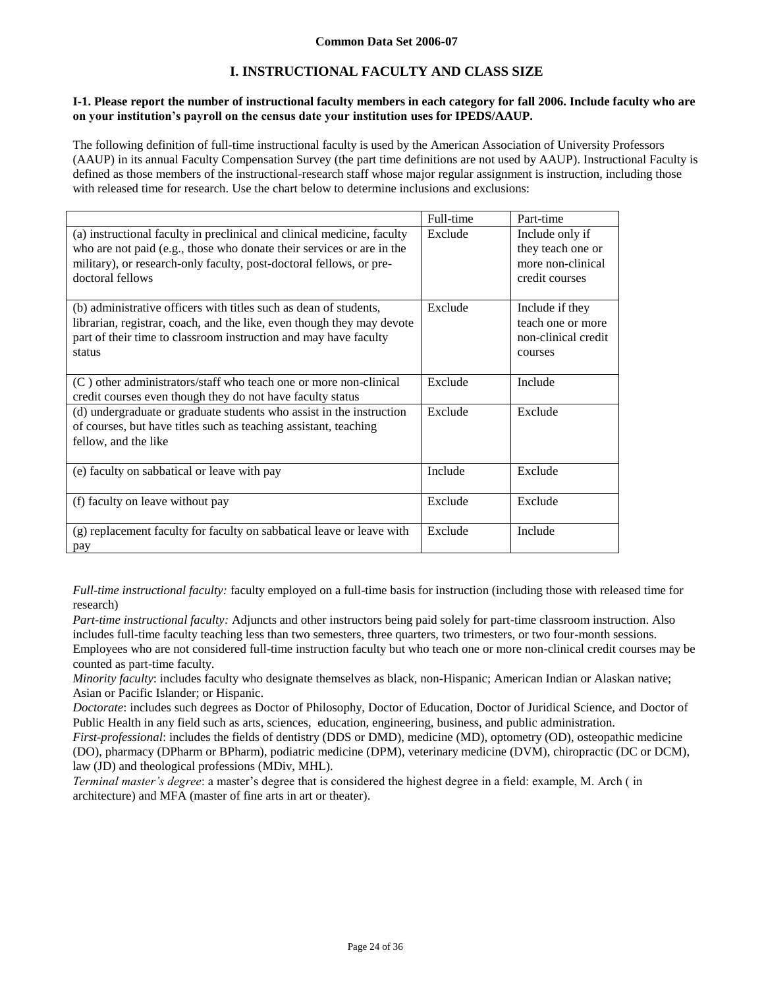# **I. INSTRUCTIONAL FACULTY AND CLASS SIZE**

#### **I-1. Please report the number of instructional faculty members in each category for fall 2006. Include faculty who are on your institution's payroll on the census date your institution uses for IPEDS/AAUP.**

The following definition of full-time instructional faculty is used by the American Association of University Professors (AAUP) in its annual Faculty Compensation Survey (the part time definitions are not used by AAUP). Instructional Faculty is defined as those members of the instructional-research staff whose major regular assignment is instruction, including those with released time for research. Use the chart below to determine inclusions and exclusions:

|                                                                                                                                                                                                                                             | Full-time | Part-time                                                                   |
|---------------------------------------------------------------------------------------------------------------------------------------------------------------------------------------------------------------------------------------------|-----------|-----------------------------------------------------------------------------|
| (a) instructional faculty in preclinical and clinical medicine, faculty<br>who are not paid (e.g., those who donate their services or are in the<br>military), or research-only faculty, post-doctoral fellows, or pre-<br>doctoral fellows | Exclude   | Include only if<br>they teach one or<br>more non-clinical<br>credit courses |
| (b) administrative officers with titles such as dean of students,<br>librarian, registrar, coach, and the like, even though they may devote<br>part of their time to classroom instruction and may have faculty<br>status                   | Exclude   | Include if they<br>teach one or more<br>non-clinical credit<br>courses      |
| (C) other administrators/staff who teach one or more non-clinical<br>credit courses even though they do not have faculty status                                                                                                             | Exclude   | Include                                                                     |
| (d) undergraduate or graduate students who assist in the instruction<br>of courses, but have titles such as teaching assistant, teaching<br>fellow, and the like                                                                            | Exclude   | Exclude                                                                     |
| (e) faculty on sabbatical or leave with pay                                                                                                                                                                                                 | Include   | Exclude                                                                     |
| (f) faculty on leave without pay                                                                                                                                                                                                            | Exclude   | Exclude                                                                     |
| (g) replacement faculty for faculty on sabbatical leave or leave with<br>pay                                                                                                                                                                | Exclude   | Include                                                                     |

*Full-time instructional faculty:* faculty employed on a full-time basis for instruction (including those with released time for research)

*Part-time instructional faculty:* Adjuncts and other instructors being paid solely for part-time classroom instruction. Also includes full-time faculty teaching less than two semesters, three quarters, two trimesters, or two four-month sessions. Employees who are not considered full-time instruction faculty but who teach one or more non-clinical credit courses may be counted as part-time faculty.

*Minority faculty*: includes faculty who designate themselves as black, non-Hispanic; American Indian or Alaskan native; Asian or Pacific Islander; or Hispanic.

*Doctorate*: includes such degrees as Doctor of Philosophy, Doctor of Education, Doctor of Juridical Science, and Doctor of Public Health in any field such as arts, sciences, education, engineering, business, and public administration.

*First-professional*: includes the fields of dentistry (DDS or DMD), medicine (MD), optometry (OD), osteopathic medicine (DO), pharmacy (DPharm or BPharm), podiatric medicine (DPM), veterinary medicine (DVM), chiropractic (DC or DCM), law (JD) and theological professions (MDiv, MHL).

*Terminal master's degree*: a master's degree that is considered the highest degree in a field: example, M. Arch ( in architecture) and MFA (master of fine arts in art or theater).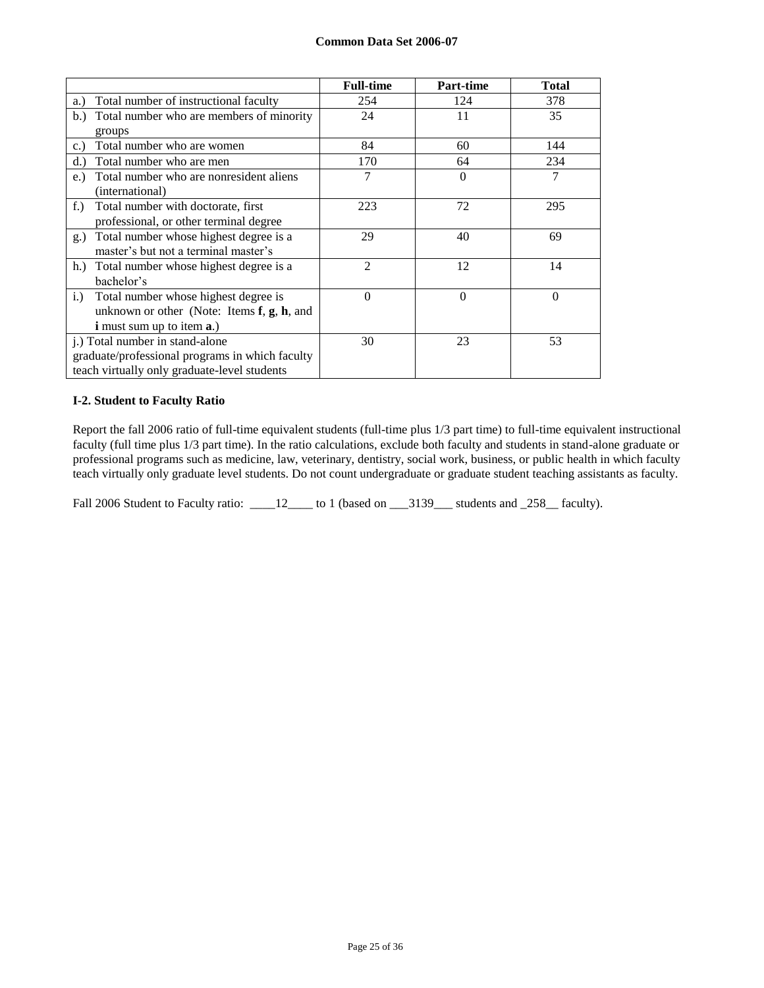|                                                     | <b>Full-time</b> | Part-time | <b>Total</b> |
|-----------------------------------------------------|------------------|-----------|--------------|
| Total number of instructional faculty<br>a.)        | 254              | 124       | 378          |
| Total number who are members of minority<br>b.      | 24               | 11        | 35           |
| groups                                              |                  |           |              |
| Total number who are women<br>c.                    | 84               | 60        | 144          |
| Total number who are men<br>d.                      | 170              | 64        | 234          |
| Total number who are nonresident aliens<br>e.)      | 7                | 0         | 7            |
| (international)                                     |                  |           |              |
| Total number with doctorate, first<br>$f$ .         | 223              | 72        | 295          |
| professional, or other terminal degree              |                  |           |              |
| Total number whose highest degree is a<br>g.)       | 29               | 40        | 69           |
| master's but not a terminal master's                |                  |           |              |
| Total number whose highest degree is a<br>h.        | $\overline{2}$   | 12        | 14           |
| bachelor's                                          |                  |           |              |
| Total number whose highest degree is<br>$i$ .       | $\theta$         | $\theta$  | $\Omega$     |
| unknown or other (Note: Items $f$ , $g$ , $h$ , and |                  |           |              |
| <b>i</b> must sum up to item <b>a</b> .)            |                  |           |              |
| j.) Total number in stand-alone                     | 30               | 23        | 53           |
| graduate/professional programs in which faculty     |                  |           |              |
| teach virtually only graduate-level students        |                  |           |              |

### **I-2. Student to Faculty Ratio**

Report the fall 2006 ratio of full-time equivalent students (full-time plus 1/3 part time) to full-time equivalent instructional faculty (full time plus 1/3 part time). In the ratio calculations, exclude both faculty and students in stand-alone graduate or professional programs such as medicine, law, veterinary, dentistry, social work, business, or public health in which faculty teach virtually only graduate level students. Do not count undergraduate or graduate student teaching assistants as faculty.

Fall 2006 Student to Faculty ratio: \_\_\_\_12\_\_\_\_ to 1 (based on \_\_\_3139\_\_\_ students and \_258\_\_ faculty).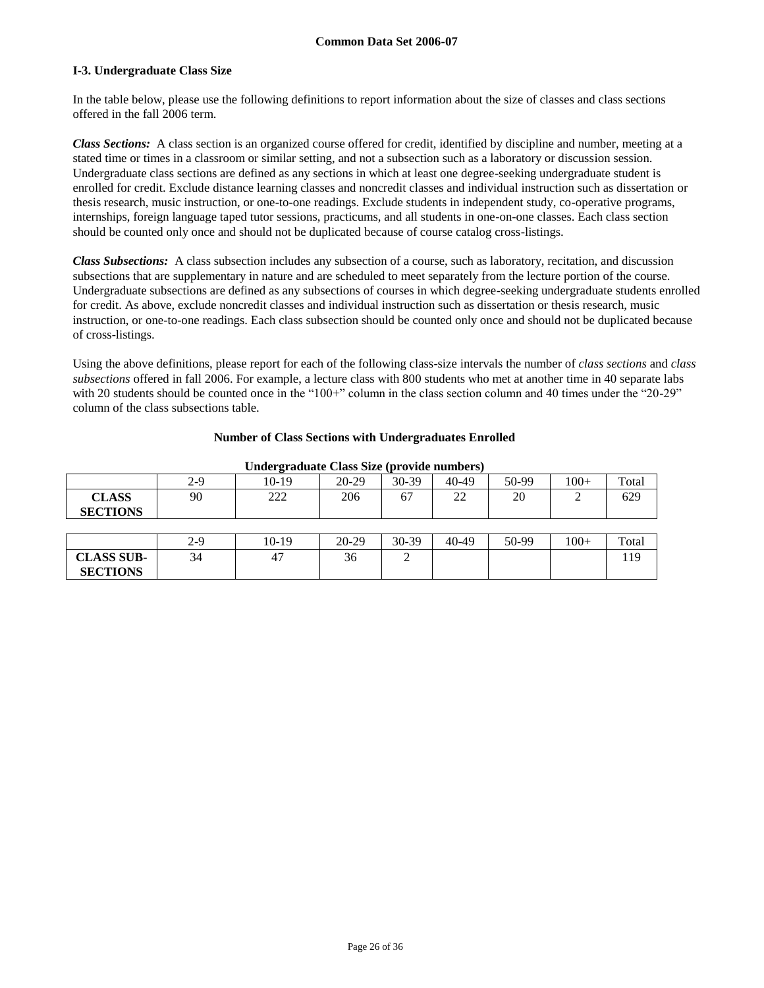#### **I-3. Undergraduate Class Size**

In the table below, please use the following definitions to report information about the size of classes and class sections offered in the fall 2006 term.

*Class Sections:* A class section is an organized course offered for credit, identified by discipline and number, meeting at a stated time or times in a classroom or similar setting, and not a subsection such as a laboratory or discussion session. Undergraduate class sections are defined as any sections in which at least one degree-seeking undergraduate student is enrolled for credit. Exclude distance learning classes and noncredit classes and individual instruction such as dissertation or thesis research, music instruction, or one-to-one readings. Exclude students in independent study, co-operative programs, internships, foreign language taped tutor sessions, practicums, and all students in one-on-one classes. Each class section should be counted only once and should not be duplicated because of course catalog cross-listings.

*Class Subsections:* A class subsection includes any subsection of a course, such as laboratory, recitation, and discussion subsections that are supplementary in nature and are scheduled to meet separately from the lecture portion of the course. Undergraduate subsections are defined as any subsections of courses in which degree-seeking undergraduate students enrolled for credit. As above, exclude noncredit classes and individual instruction such as dissertation or thesis research, music instruction, or one-to-one readings. Each class subsection should be counted only once and should not be duplicated because of cross-listings.

Using the above definitions, please report for each of the following class-size intervals the number of *class sections* and *class subsections* offered in fall 2006. For example, a lecture class with 800 students who met at another time in 40 separate labs with 20 students should be counted once in the "100+" column in the class section column and 40 times under the "20-29" column of the class subsections table.

#### **Number of Class Sections with Undergraduates Enrolled**

| Undergraduate Class Size (provide numbers) |     |            |       |       |          |       |        |       |
|--------------------------------------------|-----|------------|-------|-------|----------|-------|--------|-------|
|                                            | 2-9 | 10-19      | 20-29 | 30-39 | 40-49    | 50-99 | $100+$ | Total |
| <b>CLASS</b><br><b>SECTIONS</b>            | 90  | າາາ<br>∠∠∠ | 206   | 67    | າາ<br>∠∠ | 20    | ∸      | 629   |

|                   | $2 - 9$ | 10-19 | $20 - 29$ | 30-39 | $40-49$ | 50-99 | $100+$ | Total |
|-------------------|---------|-------|-----------|-------|---------|-------|--------|-------|
| <b>CLASS SUB-</b> | 34      | ←.    | 30        |       |         |       |        | 10    |
| <b>SECTIONS</b>   |         |       |           |       |         |       |        |       |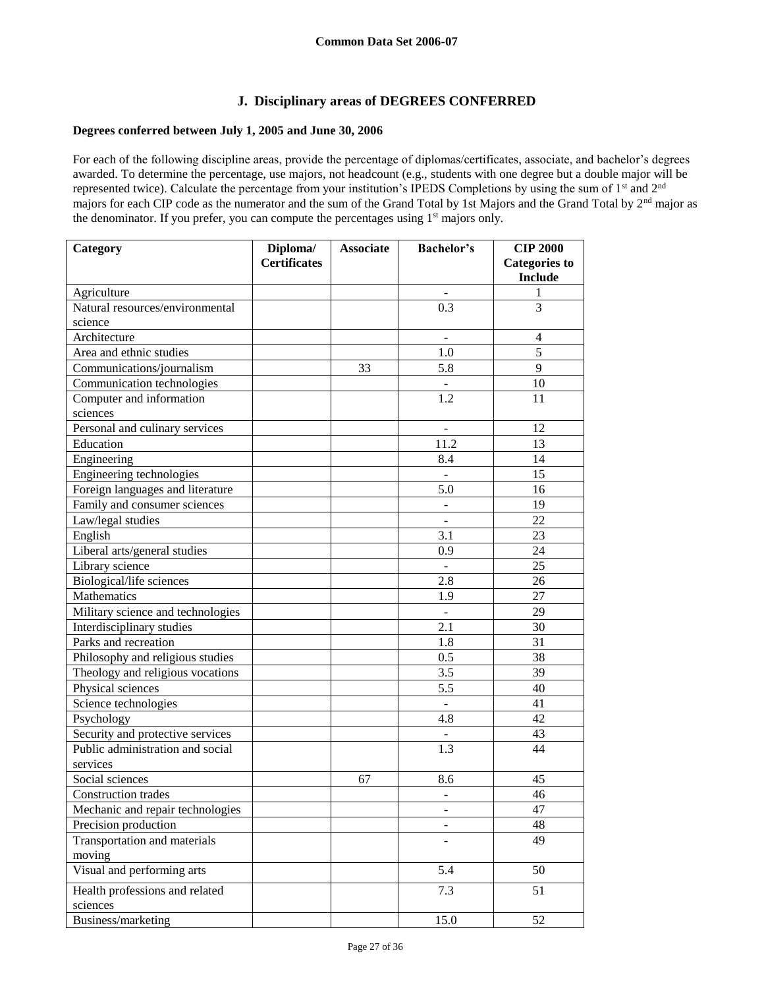# **J. Disciplinary areas of DEGREES CONFERRED**

# **Degrees conferred between July 1, 2005 and June 30, 2006**

For each of the following discipline areas, provide the percentage of diplomas/certificates, associate, and bachelor's degrees awarded. To determine the percentage, use majors, not headcount (e.g., students with one degree but a double major will be represented twice). Calculate the percentage from your institution's IPEDS Completions by using the sum of 1<sup>st</sup> and 2<sup>nd</sup> majors for each CIP code as the numerator and the sum of the Grand Total by 1st Majors and the Grand Total by 2<sup>nd</sup> major as the denominator. If you prefer, you can compute the percentages using 1<sup>st</sup> majors only.

| Category                          | Diploma/            | <b>Associate</b> | <b>Bachelor's</b>            | <b>CIP 2000</b>                        |
|-----------------------------------|---------------------|------------------|------------------------------|----------------------------------------|
|                                   | <b>Certificates</b> |                  |                              | <b>Categories to</b><br><b>Include</b> |
| Agriculture                       |                     |                  | $\blacksquare$               | 1                                      |
| Natural resources/environmental   |                     |                  | 0.3                          | 3                                      |
| science                           |                     |                  |                              |                                        |
| Architecture                      |                     |                  | $\blacksquare$               | $\overline{4}$                         |
| Area and ethnic studies           |                     |                  | 1.0                          | 5                                      |
| Communications/journalism         |                     | 33               | 5.8                          | 9                                      |
| Communication technologies        |                     |                  |                              | 10                                     |
| Computer and information          |                     |                  | 1.2                          | 11                                     |
| sciences                          |                     |                  |                              |                                        |
| Personal and culinary services    |                     |                  | $\overline{\phantom{a}}$     | 12                                     |
| Education                         |                     |                  | 11.2                         | 13                                     |
| Engineering                       |                     |                  | 8.4                          | 14                                     |
| Engineering technologies          |                     |                  |                              | 15                                     |
| Foreign languages and literature  |                     |                  | 5.0                          | 16                                     |
| Family and consumer sciences      |                     |                  |                              | 19                                     |
| Law/legal studies                 |                     |                  |                              | 22                                     |
| English                           |                     |                  | 3.1                          | 23                                     |
| Liberal arts/general studies      |                     |                  | 0.9                          | 24                                     |
| Library science                   |                     |                  |                              | 25                                     |
| Biological/life sciences          |                     |                  | 2.8                          | 26                                     |
| <b>Mathematics</b>                |                     |                  | 1.9                          | 27                                     |
| Military science and technologies |                     |                  |                              | 29                                     |
| Interdisciplinary studies         |                     |                  | 2.1                          | 30                                     |
| Parks and recreation              |                     |                  | 1.8                          | 31                                     |
| Philosophy and religious studies  |                     |                  | 0.5                          | 38                                     |
| Theology and religious vocations  |                     |                  | 3.5                          | 39                                     |
| Physical sciences                 |                     |                  | 5.5                          | 40                                     |
| Science technologies              |                     |                  | $\Box$                       | 41                                     |
| Psychology                        |                     |                  | 4.8                          | 42                                     |
| Security and protective services  |                     |                  | $\overline{\phantom{a}}$     | 43                                     |
| Public administration and social  |                     |                  | 1.3                          | 44                                     |
| services                          |                     |                  |                              |                                        |
| Social sciences                   |                     | 67               | 8.6                          | 45                                     |
| Construction trades               |                     |                  |                              | 46                                     |
| Mechanic and repair technologies  |                     |                  | $\qquad \qquad \blacksquare$ | 47                                     |
| Precision production              |                     |                  |                              | 48                                     |
| Transportation and materials      |                     |                  |                              | 49                                     |
| moving                            |                     |                  |                              |                                        |
| Visual and performing arts        |                     |                  | 5.4                          | 50                                     |
| Health professions and related    |                     |                  | 7.3                          | 51                                     |
| sciences                          |                     |                  |                              |                                        |
| Business/marketing                |                     |                  | 15.0                         | 52                                     |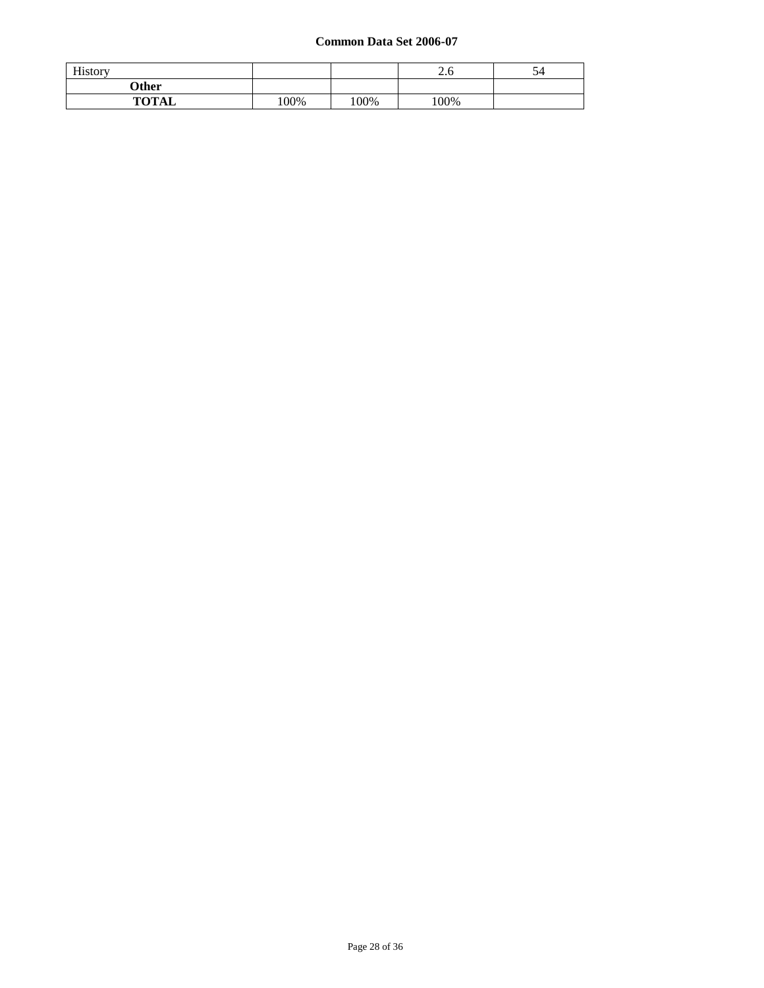| History      |        |     | ⌒<br>2.6 | 54 |
|--------------|--------|-----|----------|----|
| Other        |        |     |          |    |
| <b>TOTAL</b> | $00\%$ | 00% | 100%     |    |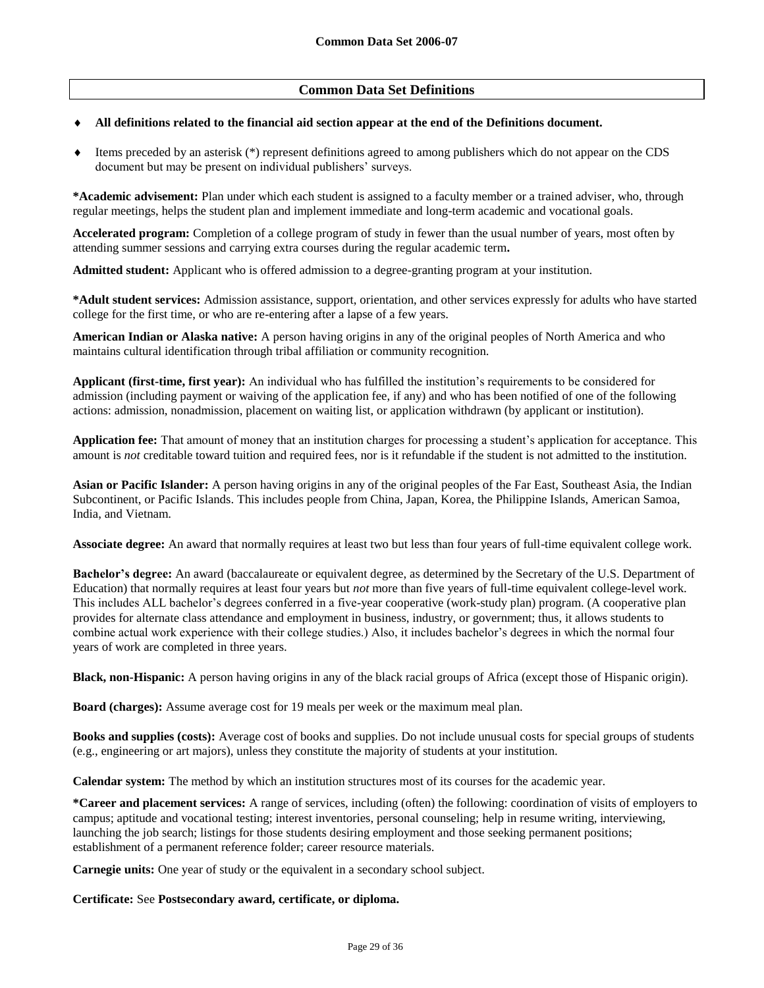# **Common Data Set Definitions**

#### **All definitions related to the financial aid section appear at the end of the Definitions document.**

 Items preceded by an asterisk (\*) represent definitions agreed to among publishers which do not appear on the CDS document but may be present on individual publishers' surveys.

**\*Academic advisement:** Plan under which each student is assigned to a faculty member or a trained adviser, who, through regular meetings, helps the student plan and implement immediate and long-term academic and vocational goals.

**Accelerated program:** Completion of a college program of study in fewer than the usual number of years, most often by attending summer sessions and carrying extra courses during the regular academic term**.**

**Admitted student:** Applicant who is offered admission to a degree-granting program at your institution.

**\*Adult student services:** Admission assistance, support, orientation, and other services expressly for adults who have started college for the first time, or who are re-entering after a lapse of a few years.

**American Indian or Alaska native:** A person having origins in any of the original peoples of North America and who maintains cultural identification through tribal affiliation or community recognition.

**Applicant (first-time, first year):** An individual who has fulfilled the institution's requirements to be considered for admission (including payment or waiving of the application fee, if any) and who has been notified of one of the following actions: admission, nonadmission, placement on waiting list, or application withdrawn (by applicant or institution).

**Application fee:** That amount of money that an institution charges for processing a student's application for acceptance. This amount is *not* creditable toward tuition and required fees, nor is it refundable if the student is not admitted to the institution.

**Asian or Pacific Islander:** A person having origins in any of the original peoples of the Far East, Southeast Asia, the Indian Subcontinent, or Pacific Islands. This includes people from China, Japan, Korea, the Philippine Islands, American Samoa, India, and Vietnam.

**Associate degree:** An award that normally requires at least two but less than four years of full-time equivalent college work.

**Bachelor's degree:** An award (baccalaureate or equivalent degree, as determined by the Secretary of the U.S. Department of Education) that normally requires at least four years but *not* more than five years of full-time equivalent college-level work. This includes ALL bachelor's degrees conferred in a five-year cooperative (work-study plan) program. (A cooperative plan provides for alternate class attendance and employment in business, industry, or government; thus, it allows students to combine actual work experience with their college studies.) Also, it includes bachelor's degrees in which the normal four years of work are completed in three years.

**Black, non-Hispanic:** A person having origins in any of the black racial groups of Africa (except those of Hispanic origin).

**Board (charges):** Assume average cost for 19 meals per week or the maximum meal plan.

**Books and supplies (costs):** Average cost of books and supplies. Do not include unusual costs for special groups of students (e.g., engineering or art majors), unless they constitute the majority of students at your institution.

**Calendar system:** The method by which an institution structures most of its courses for the academic year.

**\*Career and placement services:** A range of services, including (often) the following: coordination of visits of employers to campus; aptitude and vocational testing; interest inventories, personal counseling; help in resume writing, interviewing, launching the job search; listings for those students desiring employment and those seeking permanent positions; establishment of a permanent reference folder; career resource materials.

**Carnegie units:** One year of study or the equivalent in a secondary school subject.

**Certificate:** See **Postsecondary award, certificate, or diploma.**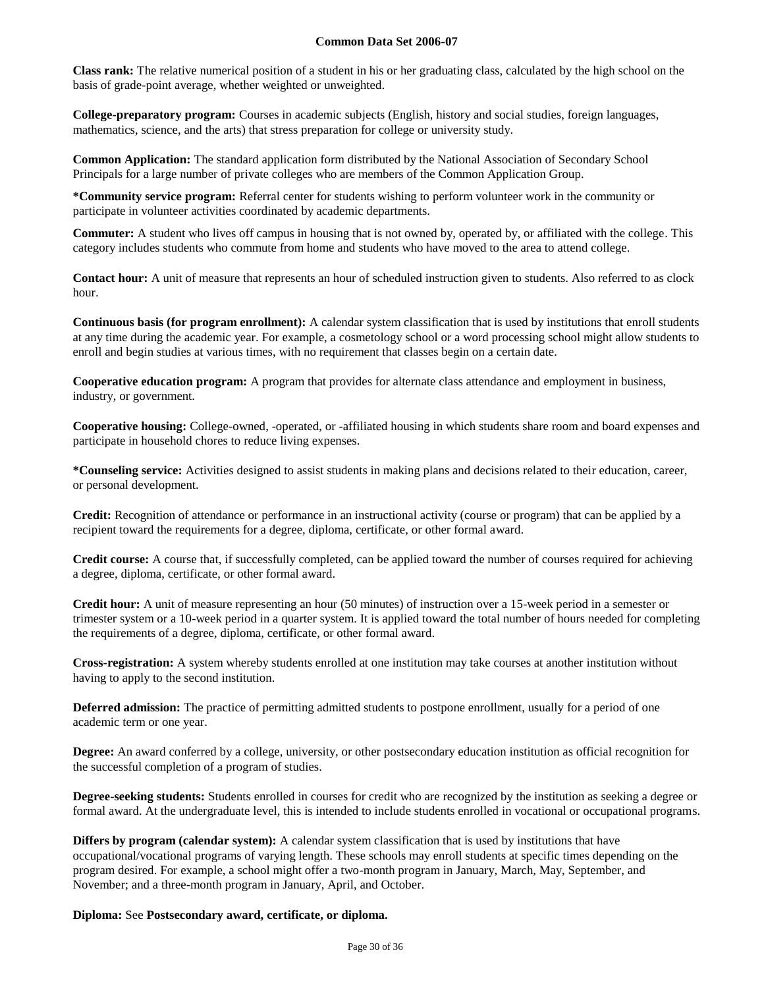**Class rank:** The relative numerical position of a student in his or her graduating class, calculated by the high school on the basis of grade-point average, whether weighted or unweighted.

**College-preparatory program:** Courses in academic subjects (English, history and social studies, foreign languages, mathematics, science, and the arts) that stress preparation for college or university study.

**Common Application:** The standard application form distributed by the National Association of Secondary School Principals for a large number of private colleges who are members of the Common Application Group.

**\*Community service program:** Referral center for students wishing to perform volunteer work in the community or participate in volunteer activities coordinated by academic departments.

**Commuter:** A student who lives off campus in housing that is not owned by, operated by, or affiliated with the college. This category includes students who commute from home and students who have moved to the area to attend college.

**Contact hour:** A unit of measure that represents an hour of scheduled instruction given to students. Also referred to as clock hour.

**Continuous basis (for program enrollment):** A calendar system classification that is used by institutions that enroll students at any time during the academic year. For example, a cosmetology school or a word processing school might allow students to enroll and begin studies at various times, with no requirement that classes begin on a certain date.

**Cooperative education program:** A program that provides for alternate class attendance and employment in business, industry, or government.

**Cooperative housing:** College-owned, -operated, or -affiliated housing in which students share room and board expenses and participate in household chores to reduce living expenses.

**\*Counseling service:** Activities designed to assist students in making plans and decisions related to their education, career, or personal development.

**Credit:** Recognition of attendance or performance in an instructional activity (course or program) that can be applied by a recipient toward the requirements for a degree, diploma, certificate, or other formal award.

**Credit course:** A course that, if successfully completed, can be applied toward the number of courses required for achieving a degree, diploma, certificate, or other formal award.

**Credit hour:** A unit of measure representing an hour (50 minutes) of instruction over a 15-week period in a semester or trimester system or a 10-week period in a quarter system. It is applied toward the total number of hours needed for completing the requirements of a degree, diploma, certificate, or other formal award.

**Cross-registration:** A system whereby students enrolled at one institution may take courses at another institution without having to apply to the second institution.

**Deferred admission:** The practice of permitting admitted students to postpone enrollment, usually for a period of one academic term or one year.

**Degree:** An award conferred by a college, university, or other postsecondary education institution as official recognition for the successful completion of a program of studies.

**Degree-seeking students:** Students enrolled in courses for credit who are recognized by the institution as seeking a degree or formal award. At the undergraduate level, this is intended to include students enrolled in vocational or occupational programs.

**Differs by program (calendar system):** A calendar system classification that is used by institutions that have occupational/vocational programs of varying length. These schools may enroll students at specific times depending on the program desired. For example, a school might offer a two-month program in January, March, May, September, and November; and a three-month program in January, April, and October.

**Diploma:** See **Postsecondary award, certificate, or diploma.**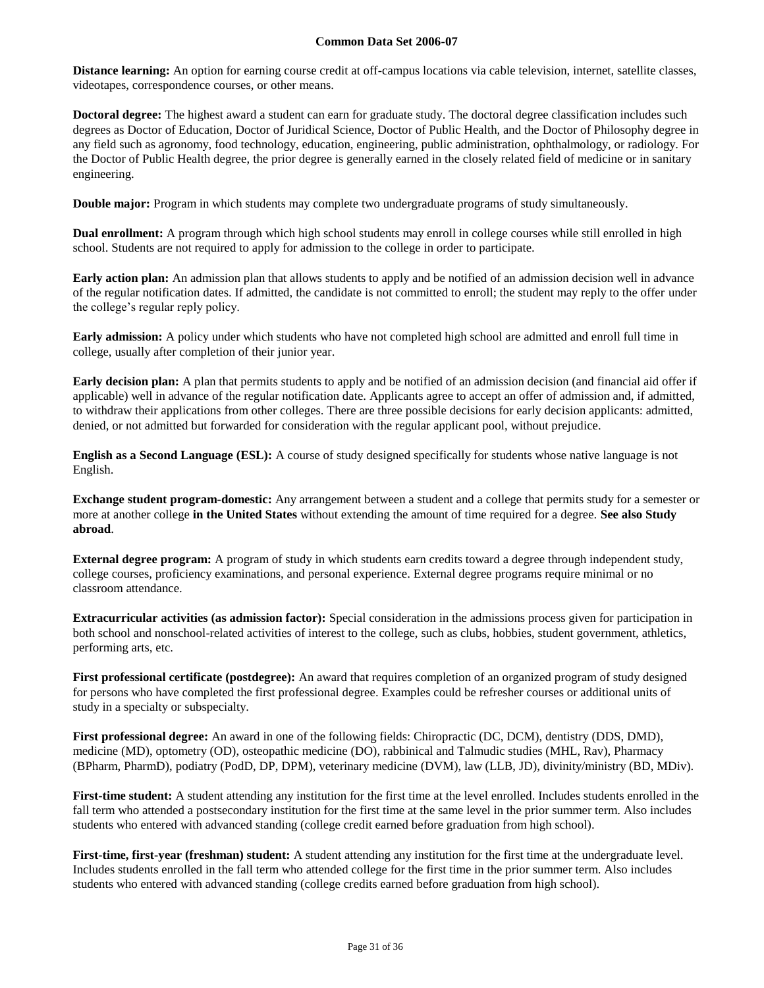**Distance learning:** An option for earning course credit at off-campus locations via cable television, internet, satellite classes, videotapes, correspondence courses, or other means.

**Doctoral degree:** The highest award a student can earn for graduate study. The doctoral degree classification includes such degrees as Doctor of Education, Doctor of Juridical Science, Doctor of Public Health, and the Doctor of Philosophy degree in any field such as agronomy, food technology, education, engineering, public administration, ophthalmology, or radiology. For the Doctor of Public Health degree, the prior degree is generally earned in the closely related field of medicine or in sanitary engineering.

**Double major:** Program in which students may complete two undergraduate programs of study simultaneously.

**Dual enrollment:** A program through which high school students may enroll in college courses while still enrolled in high school. Students are not required to apply for admission to the college in order to participate.

**Early action plan:** An admission plan that allows students to apply and be notified of an admission decision well in advance of the regular notification dates. If admitted, the candidate is not committed to enroll; the student may reply to the offer under the college's regular reply policy.

**Early admission:** A policy under which students who have not completed high school are admitted and enroll full time in college, usually after completion of their junior year.

**Early decision plan:** A plan that permits students to apply and be notified of an admission decision (and financial aid offer if applicable) well in advance of the regular notification date. Applicants agree to accept an offer of admission and, if admitted, to withdraw their applications from other colleges. There are three possible decisions for early decision applicants: admitted, denied, or not admitted but forwarded for consideration with the regular applicant pool, without prejudice.

**English as a Second Language (ESL):** A course of study designed specifically for students whose native language is not English.

**Exchange student program-domestic:** Any arrangement between a student and a college that permits study for a semester or more at another college **in the United States** without extending the amount of time required for a degree. **See also Study abroad**.

**External degree program:** A program of study in which students earn credits toward a degree through independent study, college courses, proficiency examinations, and personal experience. External degree programs require minimal or no classroom attendance.

**Extracurricular activities (as admission factor):** Special consideration in the admissions process given for participation in both school and nonschool-related activities of interest to the college, such as clubs, hobbies, student government, athletics, performing arts, etc.

**First professional certificate (postdegree):** An award that requires completion of an organized program of study designed for persons who have completed the first professional degree. Examples could be refresher courses or additional units of study in a specialty or subspecialty.

**First professional degree:** An award in one of the following fields: Chiropractic (DC, DCM), dentistry (DDS, DMD), medicine (MD), optometry (OD), osteopathic medicine (DO), rabbinical and Talmudic studies (MHL, Rav), Pharmacy (BPharm, PharmD), podiatry (PodD, DP, DPM), veterinary medicine (DVM), law (LLB, JD), divinity/ministry (BD, MDiv).

First-time student: A student attending any institution for the first time at the level enrolled. Includes students enrolled in the fall term who attended a postsecondary institution for the first time at the same level in the prior summer term. Also includes students who entered with advanced standing (college credit earned before graduation from high school).

**First-time, first-year (freshman) student:** A student attending any institution for the first time at the undergraduate level. Includes students enrolled in the fall term who attended college for the first time in the prior summer term. Also includes students who entered with advanced standing (college credits earned before graduation from high school).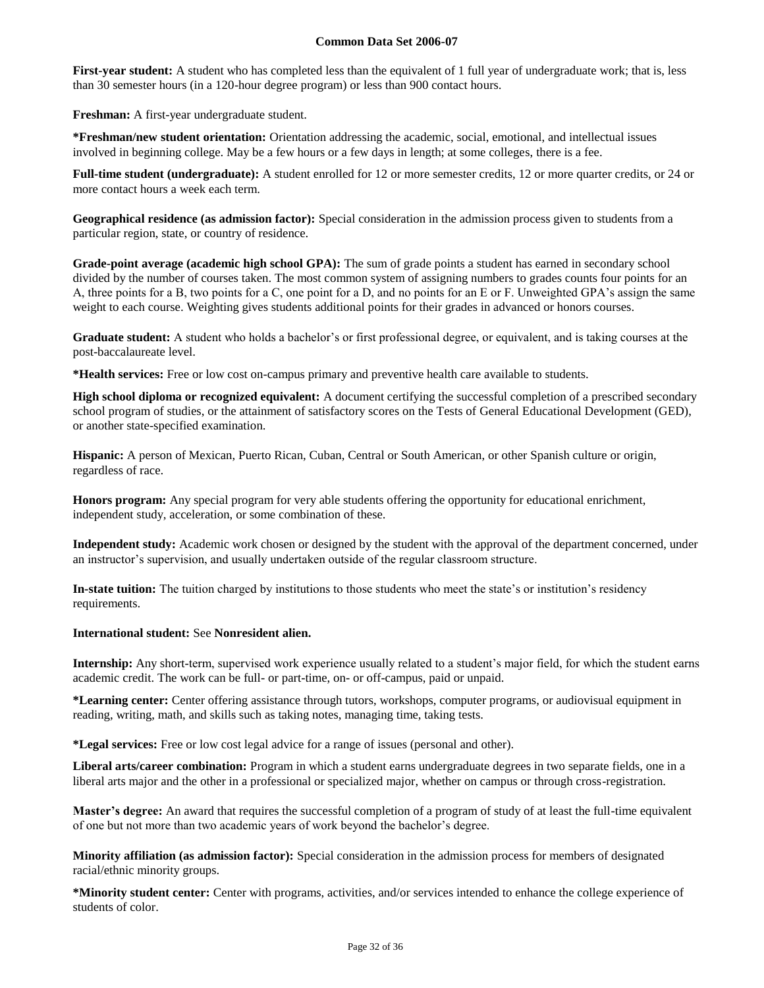**First-year student:** A student who has completed less than the equivalent of 1 full year of undergraduate work; that is, less than 30 semester hours (in a 120-hour degree program) or less than 900 contact hours.

**Freshman:** A first-year undergraduate student.

**\*Freshman/new student orientation:** Orientation addressing the academic, social, emotional, and intellectual issues involved in beginning college. May be a few hours or a few days in length; at some colleges, there is a fee.

**Full-time student (undergraduate):** A student enrolled for 12 or more semester credits, 12 or more quarter credits, or 24 or more contact hours a week each term.

**Geographical residence (as admission factor):** Special consideration in the admission process given to students from a particular region, state, or country of residence.

**Grade-point average (academic high school GPA):** The sum of grade points a student has earned in secondary school divided by the number of courses taken. The most common system of assigning numbers to grades counts four points for an A, three points for a B, two points for a C, one point for a D, and no points for an E or F. Unweighted GPA's assign the same weight to each course. Weighting gives students additional points for their grades in advanced or honors courses.

**Graduate student:** A student who holds a bachelor's or first professional degree, or equivalent, and is taking courses at the post-baccalaureate level.

**\*Health services:** Free or low cost on-campus primary and preventive health care available to students.

**High school diploma or recognized equivalent:** A document certifying the successful completion of a prescribed secondary school program of studies, or the attainment of satisfactory scores on the Tests of General Educational Development (GED), or another state-specified examination.

**Hispanic:** A person of Mexican, Puerto Rican, Cuban, Central or South American, or other Spanish culture or origin, regardless of race.

**Honors program:** Any special program for very able students offering the opportunity for educational enrichment, independent study, acceleration, or some combination of these.

**Independent study:** Academic work chosen or designed by the student with the approval of the department concerned, under an instructor's supervision, and usually undertaken outside of the regular classroom structure.

**In-state tuition:** The tuition charged by institutions to those students who meet the state's or institution's residency requirements.

**International student:** See **Nonresident alien.**

**Internship:** Any short-term, supervised work experience usually related to a student's major field, for which the student earns academic credit. The work can be full- or part-time, on- or off-campus, paid or unpaid.

**\*Learning center:** Center offering assistance through tutors, workshops, computer programs, or audiovisual equipment in reading, writing, math, and skills such as taking notes, managing time, taking tests.

**\*Legal services:** Free or low cost legal advice for a range of issues (personal and other).

**Liberal arts/career combination:** Program in which a student earns undergraduate degrees in two separate fields, one in a liberal arts major and the other in a professional or specialized major, whether on campus or through cross-registration.

**Master's degree:** An award that requires the successful completion of a program of study of at least the full-time equivalent of one but not more than two academic years of work beyond the bachelor's degree.

**Minority affiliation (as admission factor):** Special consideration in the admission process for members of designated racial/ethnic minority groups.

**\*Minority student center:** Center with programs, activities, and/or services intended to enhance the college experience of students of color.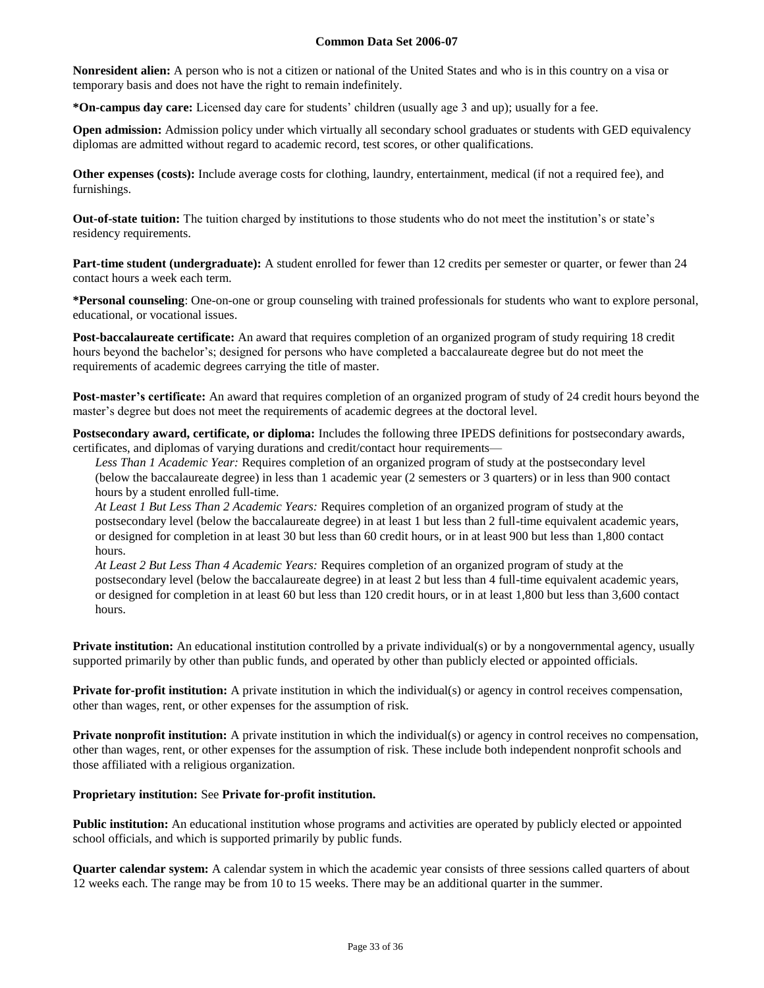**Nonresident alien:** A person who is not a citizen or national of the United States and who is in this country on a visa or temporary basis and does not have the right to remain indefinitely.

**\*On-campus day care:** Licensed day care for students' children (usually age 3 and up); usually for a fee.

**Open admission:** Admission policy under which virtually all secondary school graduates or students with GED equivalency diplomas are admitted without regard to academic record, test scores, or other qualifications.

**Other expenses (costs):** Include average costs for clothing, laundry, entertainment, medical (if not a required fee), and furnishings.

**Out-of-state tuition:** The tuition charged by institutions to those students who do not meet the institution's or state's residency requirements.

**Part-time student (undergraduate):** A student enrolled for fewer than 12 credits per semester or quarter, or fewer than 24 contact hours a week each term.

**\*Personal counseling**: One-on-one or group counseling with trained professionals for students who want to explore personal, educational, or vocational issues.

**Post-baccalaureate certificate:** An award that requires completion of an organized program of study requiring 18 credit hours beyond the bachelor's; designed for persons who have completed a baccalaureate degree but do not meet the requirements of academic degrees carrying the title of master.

**Post-master's certificate:** An award that requires completion of an organized program of study of 24 credit hours beyond the master's degree but does not meet the requirements of academic degrees at the doctoral level.

**Postsecondary award, certificate, or diploma:** Includes the following three IPEDS definitions for postsecondary awards, certificates, and diplomas of varying durations and credit/contact hour requirements—

*Less Than 1 Academic Year:* Requires completion of an organized program of study at the postsecondary level (below the baccalaureate degree) in less than 1 academic year (2 semesters or 3 quarters) or in less than 900 contact hours by a student enrolled full-time.

*At Least 1 But Less Than 2 Academic Years:* Requires completion of an organized program of study at the postsecondary level (below the baccalaureate degree) in at least 1 but less than 2 full-time equivalent academic years, or designed for completion in at least 30 but less than 60 credit hours, or in at least 900 but less than 1,800 contact hours.

*At Least 2 But Less Than 4 Academic Years:* Requires completion of an organized program of study at the postsecondary level (below the baccalaureate degree) in at least 2 but less than 4 full-time equivalent academic years, or designed for completion in at least 60 but less than 120 credit hours, or in at least 1,800 but less than 3,600 contact hours.

**Private institution:** An educational institution controlled by a private individual(s) or by a nongovernmental agency, usually supported primarily by other than public funds, and operated by other than publicly elected or appointed officials.

**Private for-profit institution:** A private institution in which the individual(s) or agency in control receives compensation, other than wages, rent, or other expenses for the assumption of risk.

**Private nonprofit institution:** A private institution in which the individual(s) or agency in control receives no compensation, other than wages, rent, or other expenses for the assumption of risk. These include both independent nonprofit schools and those affiliated with a religious organization.

## **Proprietary institution:** See **Private for-profit institution.**

**Public institution:** An educational institution whose programs and activities are operated by publicly elected or appointed school officials, and which is supported primarily by public funds.

**Quarter calendar system:** A calendar system in which the academic year consists of three sessions called quarters of about 12 weeks each. The range may be from 10 to 15 weeks. There may be an additional quarter in the summer.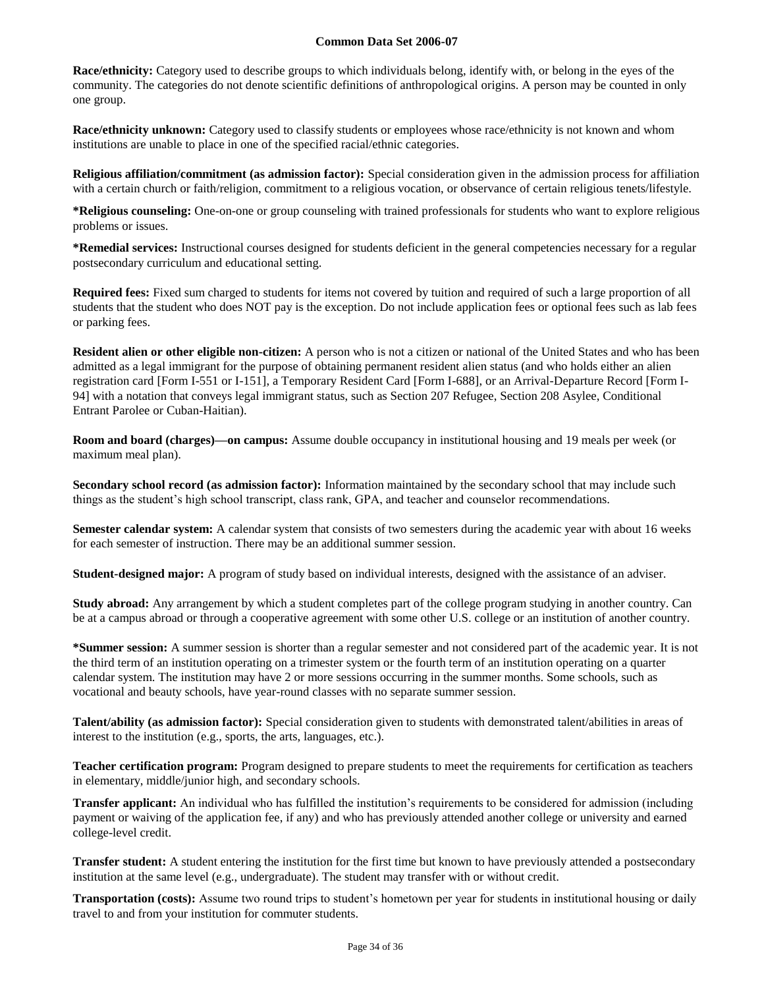**Race/ethnicity:** Category used to describe groups to which individuals belong, identify with, or belong in the eyes of the community. The categories do not denote scientific definitions of anthropological origins. A person may be counted in only one group.

**Race/ethnicity unknown:** Category used to classify students or employees whose race/ethnicity is not known and whom institutions are unable to place in one of the specified racial/ethnic categories.

**Religious affiliation/commitment (as admission factor):** Special consideration given in the admission process for affiliation with a certain church or faith/religion, commitment to a religious vocation, or observance of certain religious tenets/lifestyle.

**\*Religious counseling:** One-on-one or group counseling with trained professionals for students who want to explore religious problems or issues.

**\*Remedial services:** Instructional courses designed for students deficient in the general competencies necessary for a regular postsecondary curriculum and educational setting.

**Required fees:** Fixed sum charged to students for items not covered by tuition and required of such a large proportion of all students that the student who does NOT pay is the exception. Do not include application fees or optional fees such as lab fees or parking fees.

**Resident alien or other eligible non-citizen:** A person who is not a citizen or national of the United States and who has been admitted as a legal immigrant for the purpose of obtaining permanent resident alien status (and who holds either an alien registration card [Form I-551 or I-151], a Temporary Resident Card [Form I-688], or an Arrival-Departure Record [Form I-94] with a notation that conveys legal immigrant status, such as Section 207 Refugee, Section 208 Asylee, Conditional Entrant Parolee or Cuban-Haitian).

**Room and board (charges)—on campus:** Assume double occupancy in institutional housing and 19 meals per week (or maximum meal plan).

**Secondary school record (as admission factor):** Information maintained by the secondary school that may include such things as the student's high school transcript, class rank, GPA, and teacher and counselor recommendations.

**Semester calendar system:** A calendar system that consists of two semesters during the academic year with about 16 weeks for each semester of instruction. There may be an additional summer session.

**Student-designed major:** A program of study based on individual interests, designed with the assistance of an adviser.

**Study abroad:** Any arrangement by which a student completes part of the college program studying in another country. Can be at a campus abroad or through a cooperative agreement with some other U.S. college or an institution of another country.

**\*Summer session:** A summer session is shorter than a regular semester and not considered part of the academic year. It is not the third term of an institution operating on a trimester system or the fourth term of an institution operating on a quarter calendar system. The institution may have 2 or more sessions occurring in the summer months. Some schools, such as vocational and beauty schools, have year-round classes with no separate summer session.

**Talent/ability (as admission factor):** Special consideration given to students with demonstrated talent/abilities in areas of interest to the institution (e.g., sports, the arts, languages, etc.).

**Teacher certification program:** Program designed to prepare students to meet the requirements for certification as teachers in elementary, middle/junior high, and secondary schools.

**Transfer applicant:** An individual who has fulfilled the institution's requirements to be considered for admission (including payment or waiving of the application fee, if any) and who has previously attended another college or university and earned college-level credit.

**Transfer student:** A student entering the institution for the first time but known to have previously attended a postsecondary institution at the same level (e.g., undergraduate). The student may transfer with or without credit.

**Transportation (costs):** Assume two round trips to student's hometown per year for students in institutional housing or daily travel to and from your institution for commuter students.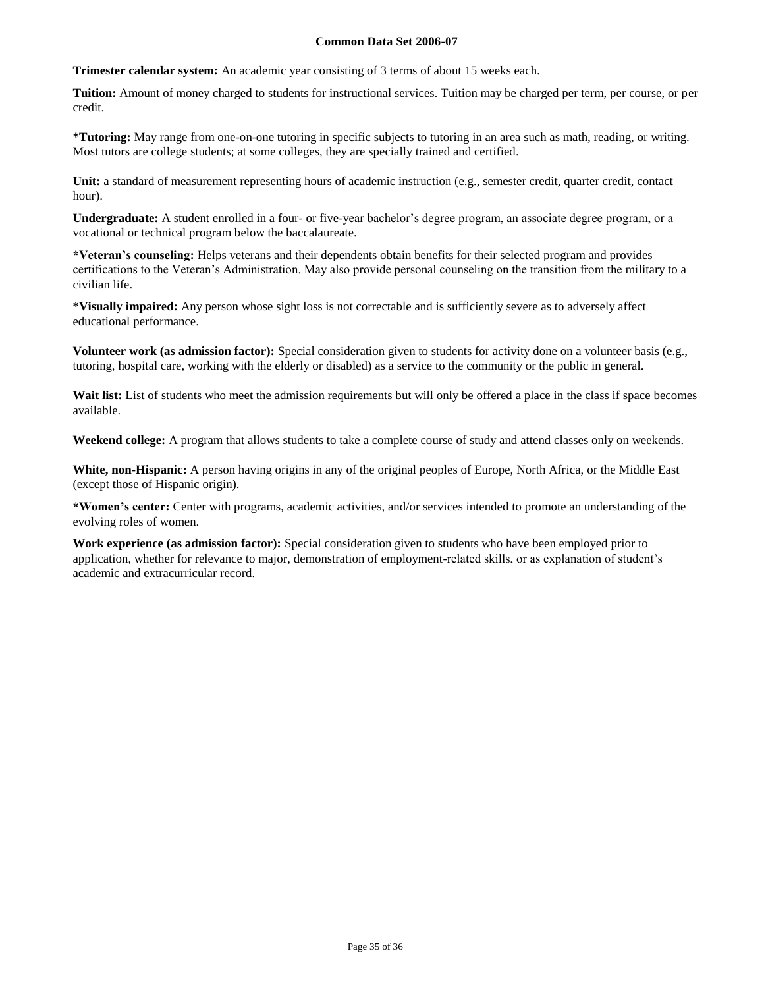**Trimester calendar system:** An academic year consisting of 3 terms of about 15 weeks each.

**Tuition:** Amount of money charged to students for instructional services. Tuition may be charged per term, per course, or per credit.

**\*Tutoring:** May range from one-on-one tutoring in specific subjects to tutoring in an area such as math, reading, or writing. Most tutors are college students; at some colleges, they are specially trained and certified.

**Unit:** a standard of measurement representing hours of academic instruction (e.g., semester credit, quarter credit, contact hour).

**Undergraduate:** A student enrolled in a four- or five-year bachelor's degree program, an associate degree program, or a vocational or technical program below the baccalaureate.

**\*Veteran's counseling:** Helps veterans and their dependents obtain benefits for their selected program and provides certifications to the Veteran's Administration. May also provide personal counseling on the transition from the military to a civilian life.

**\*Visually impaired:** Any person whose sight loss is not correctable and is sufficiently severe as to adversely affect educational performance.

**Volunteer work (as admission factor):** Special consideration given to students for activity done on a volunteer basis (e.g., tutoring, hospital care, working with the elderly or disabled) as a service to the community or the public in general.

Wait list: List of students who meet the admission requirements but will only be offered a place in the class if space becomes available.

**Weekend college:** A program that allows students to take a complete course of study and attend classes only on weekends.

**White, non-Hispanic:** A person having origins in any of the original peoples of Europe, North Africa, or the Middle East (except those of Hispanic origin).

**\*Women's center:** Center with programs, academic activities, and/or services intended to promote an understanding of the evolving roles of women.

**Work experience (as admission factor):** Special consideration given to students who have been employed prior to application, whether for relevance to major, demonstration of employment-related skills, or as explanation of student's academic and extracurricular record.